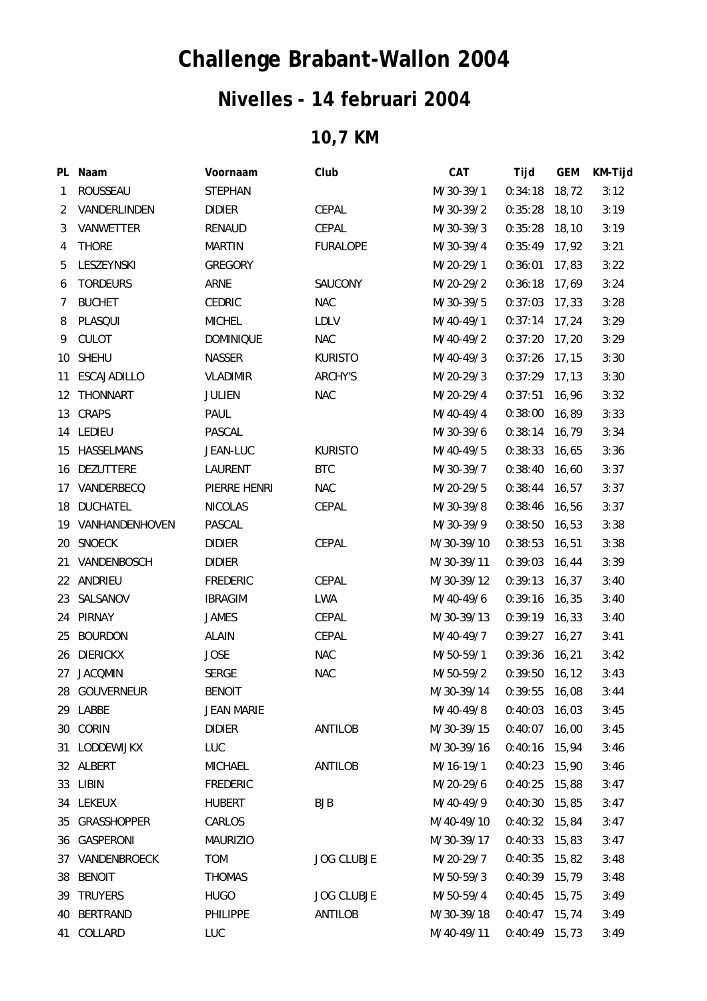## **Challenge Brabant-Wallon 2004**

## **Nivelles - 14 februari 2004**

## **10,7 KM**

|                | PL Naam            | Voornaam          | Club              | <b>CAT</b> | Tijd            | <b>GEM</b> | KM-Tijd |
|----------------|--------------------|-------------------|-------------------|------------|-----------------|------------|---------|
| 1              | ROUSSEAU           | <b>STEPHAN</b>    |                   | M/30-39/1  | $0:34:18$ 18,72 |            | 3:12    |
| $\overline{2}$ | VANDERLINDEN       | <b>DIDIER</b>     | CEPAL             | M/30-39/2  | 0:35:28         | 18, 10     | 3:19    |
| 3              | VANWETTER          | RENAUD            | CEPAL             | M/30-39/3  | 0:35:28         | 18,10      | 3:19    |
| 4              | <b>THORE</b>       | <b>MARTIN</b>     | <b>FURALOPE</b>   | M/30-39/4  | $0:35:49$ 17,92 |            | 3:21    |
| 5              | LESZEYNSKI         | <b>GREGORY</b>    |                   | M/20-29/1  | 0:36:01         | 17,83      | 3:22    |
| 6              | <b>TORDEURS</b>    | ARNE              | SAUCONY           | M/20-29/2  | 0:36:18         | 17,69      | 3:24    |
| 7              | <b>BUCHET</b>      | <b>CEDRIC</b>     | <b>NAC</b>        | M/30-39/5  | 0:37:03         | 17,33      | 3:28    |
| 8              | PLASQUI            | <b>MICHEL</b>     | <b>LDLV</b>       | M/40-49/1  | $0:37:14$ 17,24 |            | 3:29    |
| 9              | CULOT              | <b>DOMINIQUE</b>  | <b>NAC</b>        | M/40-49/2  | 0:37:20         | 17,20      | 3:29    |
| 10             | <b>SHEHU</b>       | <b>NASSER</b>     | <b>KURISTO</b>    | M/40-49/3  | $0:37:26$ 17,15 |            | 3:30    |
| 11             | <b>ESCAJADILLO</b> | <b>VLADIMIR</b>   | ARCHY'S           | M/20-29/3  | $0:37:29$ 17,13 |            | 3:30    |
| 12             | THONNART           | <b>JULIEN</b>     | <b>NAC</b>        | M/20-29/4  | 0:37:51         | 16,96      | 3:32    |
| 13             | <b>CRAPS</b>       | PAUL              |                   | M/40-49/4  | 0:38:00         | 16,89      | 3:33    |
|                | 14 LEDIEU          | PASCAL            |                   | M/30-39/6  | $0:38:14$ 16,79 |            | 3:34    |
|                | 15 HASSELMANS      | JEAN-LUC          | <b>KURISTO</b>    | M/40-49/5  | 0:38:33         | 16,65      | 3:36    |
|                | 16 DEZUTTERE       | LAURENT           | <b>BTC</b>        | M/30-39/7  | 0:38:40         | 16,60      | 3:37    |
|                | 17 VANDERBECQ      | PIERRE HENRI      | <b>NAC</b>        | M/20-29/5  | $0:38:44$ 16,57 |            | 3:37    |
|                | 18 DUCHATEL        | <b>NICOLAS</b>    | CEPAL             | M/30-39/8  | 0:38:46 16,56   |            | 3:37    |
|                | 19 VANHANDENHOVEN  | PASCAL            |                   | M/30-39/9  | 0:38:50         | 16,53      | 3:38    |
|                | 20 SNOECK          | <b>DIDIER</b>     | CEPAL             | M/30-39/10 | 0:38:53         | 16,51      | 3:38    |
|                | 21 VANDENBOSCH     | <b>DIDIER</b>     |                   | M/30-39/11 | $0:39:03$ 16,44 |            | 3:39    |
| 22             | ANDRIEU            | <b>FREDERIC</b>   | CEPAL             | M/30-39/12 | 0:39:13         | 16,37      | 3:40    |
|                | 23 SALSANOV        | <b>IBRAGIM</b>    | LWA               | M/40-49/6  | $0:39:16$ 16,35 |            | 3:40    |
|                | 24 PIRNAY          | <b>JAMES</b>      | CEPAL             | M/30-39/13 | $0:39:19$ 16,33 |            | 3:40    |
| 25             | <b>BOURDON</b>     | <b>ALAIN</b>      | CEPAL             | M/40-49/7  | $0:39:27$ 16,27 |            | 3:41    |
|                | 26 DIERICKX        | <b>JOSE</b>       | <b>NAC</b>        | M/50-59/1  | 0:39:36         | 16,21      | 3:42    |
| 27             | <b>JACQMIN</b>     | <b>SERGE</b>      | <b>NAC</b>        | M/50-59/2  | 0:39:50         | 16, 12     | 3:43    |
|                | 28 GOUVERNEUR      | <b>BENOIT</b>     |                   | M/30-39/14 | 0:39:55         | 16,08      | 3:44    |
|                | 29 LABBE           | <b>JEAN MARIE</b> |                   | M/40-49/8  | 0:40:03         | 16,03      | 3:45    |
|                | 30 CORIN           | <b>DIDIER</b>     | <b>ANTILOB</b>    | M/30-39/15 | 0:40:07         | 16,00      | 3:45    |
| 31             | LODDEWIJKX         | <b>LUC</b>        |                   | M/30-39/16 | $0:40:16$ 15,94 |            | 3:46    |
|                | 32 ALBERT          | <b>MICHAEL</b>    | ANTILOB           | M/16-19/1  | $0:40:23$ 15,90 |            | 3:46    |
|                | 33 LIBIN           | <b>FREDERIC</b>   |                   | M/20-29/6  | 0:40:25         | 15,88      | 3:47    |
|                | 34 LEKEUX          | <b>HUBERT</b>     | BJB               | M/40-49/9  | 0:40:30         | 15,85      | 3:47    |
| 35             | <b>GRASSHOPPER</b> | CARLOS            |                   | M/40-49/10 | $0:40:32$ 15,84 |            | 3:47    |
| 36             | GASPERONI          | <b>MAURIZIO</b>   |                   | M/30-39/17 | $0:40:33$ 15,83 |            | 3:47    |
| 37             | VANDENBROECK       | <b>TOM</b>        | <b>JOG CLUBJE</b> | M/20-29/7  | 0:40:35         | 15,82      | 3:48    |
| 38             | <b>BENOIT</b>      | <b>THOMAS</b>     |                   | M/50-59/3  | $0:40:39$ 15,79 |            | 3:48    |
| 39             | TRUYERS            | <b>HUGO</b>       | <b>JOG CLUBJE</b> | M/50-59/4  | 0:40:45         | 15,75      | 3:49    |
| 40             | <b>BERTRAND</b>    | <b>PHILIPPE</b>   | ANTILOB           | M/30-39/18 | $0:40:47$ 15,74 |            | 3:49    |
| 41             | COLLARD            | LUC               |                   | M/40-49/11 | $0:40:49$ 15,73 |            | 3:49    |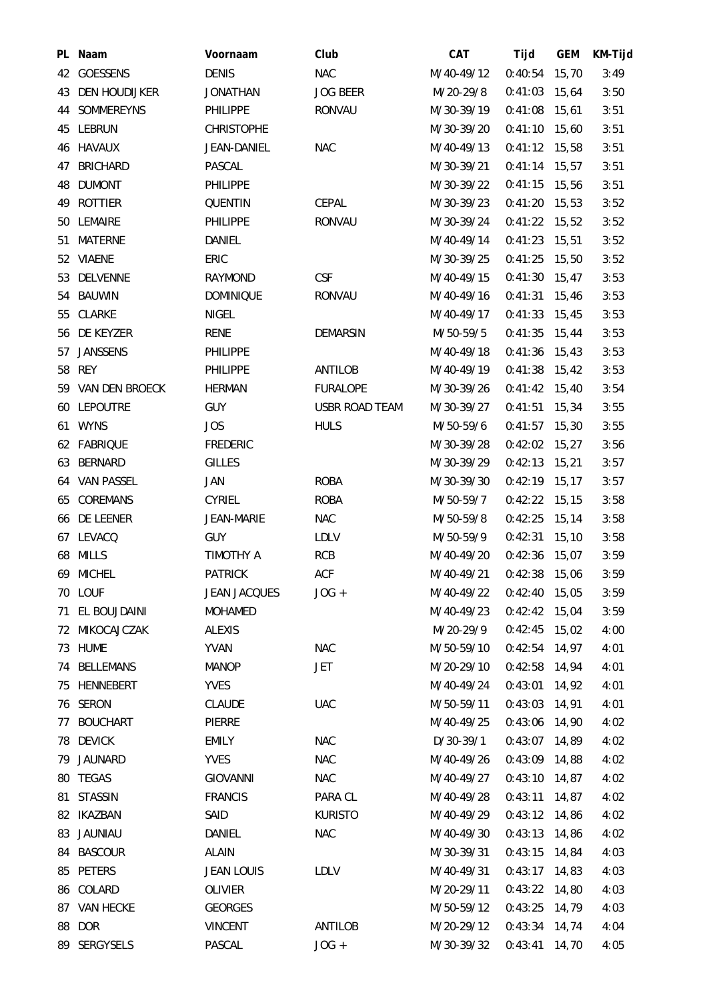|     | PL Naam           | Voornaam            | Club                  | CAT        | Tijd            | <b>GEM</b> | KM-Tijd |
|-----|-------------------|---------------------|-----------------------|------------|-----------------|------------|---------|
|     | 42 GOESSENS       | <b>DENIS</b>        | <b>NAC</b>            | M/40-49/12 | $0:40:54$ 15,70 |            | 3:49    |
|     | 43 DEN HOUDIJKER  | <b>JONATHAN</b>     | <b>JOG BEER</b>       | M/20-29/8  | 0:41:03         | 15,64      | 3:50    |
|     | 44 SOMMEREYNS     | <b>PHILIPPE</b>     | <b>RONVAU</b>         | M/30-39/19 | $0:41:08$ 15,61 |            | 3:51    |
|     | 45 LEBRUN         | <b>CHRISTOPHE</b>   |                       | M/30-39/20 | $0:41:10$ 15,60 |            | 3:51    |
|     | 46 HAVAUX         | JEAN-DANIEL         | <b>NAC</b>            | M/40-49/13 | $0:41:12$ 15,58 |            | 3:51    |
| 47  | <b>BRICHARD</b>   | PASCAL              |                       | M/30-39/21 | $0:41:14$ 15,57 |            | 3:51    |
|     | 48 DUMONT         | <b>PHILIPPE</b>     |                       | M/30-39/22 | $0:41:15$ 15,56 |            | 3:51    |
|     | 49 ROTTIER        | <b>QUENTIN</b>      | CEPAL                 | M/30-39/23 | $0:41:20$ 15,53 |            | 3:52    |
| 50  | LEMAIRE           | <b>PHILIPPE</b>     | <b>RONVAU</b>         | M/30-39/24 | $0:41:22$ 15,52 |            | 3:52    |
| 51  | MATERNE           | DANIEL              |                       | M/40-49/14 | $0:41:23$ 15,51 |            | 3:52    |
|     | 52 VIAENE         | ERIC                |                       | M/30-39/25 | $0:41:25$ 15,50 |            | 3:52    |
|     | 53 DELVENNE       | RAYMOND             | CSF                   | M/40-49/15 | 0:41:30         | 15,47      | 3:53    |
|     | 54 BAUWIN         | <b>DOMINIQUE</b>    | <b>RONVAU</b>         | M/40-49/16 | $0:41:31$ 15,46 |            | 3:53    |
|     | 55 CLARKE         | <b>NIGEL</b>        |                       | M/40-49/17 | $0:41:33$ 15,45 |            | 3:53    |
|     | 56 DE KEYZER      | RENE                | <b>DEMARSIN</b>       | M/50-59/5  | 0:41:35         | 15,44      | 3:53    |
| 57  | <b>JANSSENS</b>   | <b>PHILIPPE</b>     |                       | M/40-49/18 | $0:41:36$ 15,43 |            | 3:53    |
|     | 58 REY            | <b>PHILIPPE</b>     | <b>ANTILOB</b>        | M/40-49/19 | $0:41:38$ 15,42 |            | 3:53    |
|     | 59 VAN DEN BROECK | <b>HERMAN</b>       | <b>FURALOPE</b>       | M/30-39/26 | $0:41:42$ 15,40 |            | 3:54    |
| 60  | LEPOUTRE          | <b>GUY</b>          | <b>USBR ROAD TEAM</b> | M/30-39/27 | 0:41:51         | 15,34      | 3:55    |
|     | 61 WYNS           | <b>JOS</b>          | <b>HULS</b>           | M/50-59/6  | $0:41:57$ 15,30 |            | 3:55    |
|     | 62 FABRIQUE       | <b>FREDERIC</b>     |                       | M/30-39/28 | $0:42:02$ 15,27 |            | 3:56    |
|     | 63 BERNARD        | <b>GILLES</b>       |                       | M/30-39/29 | 0:42:13         | 15,21      | 3:57    |
|     | 64 VAN PASSEL     | JAN                 | <b>ROBA</b>           | M/30-39/30 | $0:42:19$ 15,17 |            | 3:57    |
| 65  | COREMANS          | <b>CYRIEL</b>       | <b>ROBA</b>           | M/50-59/7  | $0:42:22$ 15,15 |            | 3:58    |
|     | 66 DE LEENER      | JEAN-MARIE          | <b>NAC</b>            | M/50-59/8  | 0:42:25         | 15, 14     | 3:58    |
|     | 67 LEVACQ         | <b>GUY</b>          | <b>LDLV</b>           | M/50-59/9  | $0:42:31$ 15,10 |            | 3:58    |
|     | 68 MILLS          | TIMOTHY A           | <b>RCB</b>            | M/40-49/20 | $0:42:36$ 15,07 |            | 3:59    |
|     | 69 MICHEL         | <b>PATRICK</b>      | <b>ACF</b>            | M/40-49/21 | 0:42:38         | 15,06      | 3:59    |
|     | 70 LOUF           | <b>JEAN JACQUES</b> | $JOG +$               | M/40-49/22 | $0:42:40$ 15,05 |            | 3:59    |
| 71  | EL BOUJDAINI      | <b>MOHAMED</b>      |                       | M/40-49/23 | 0:42:42         | 15,04      | 3:59    |
|     | 72 MIKOCAJCZAK    | <b>ALEXIS</b>       |                       | M/20-29/9  | $0:42:45$ 15,02 |            | 4:00    |
|     | 73 HUME           | <b>YVAN</b>         | <b>NAC</b>            | M/50-59/10 | $0:42:54$ 14,97 |            | 4:01    |
|     | 74 BELLEMANS      | <b>MANOP</b>        | <b>JET</b>            | M/20-29/10 | 0:42:58         | 14,94      | 4:01    |
|     | 75 HENNEBERT      | <b>YVES</b>         |                       | M/40-49/24 | 0:43:01         | 14,92      | 4:01    |
|     | 76 SERON          | <b>CLAUDE</b>       | <b>UAC</b>            | M/50-59/11 | $0:43:03$ 14,91 |            | 4:01    |
| 77. | <b>BOUCHART</b>   | PIERRE              |                       | M/40-49/25 | 0:43:06 14,90   |            | 4:02    |
|     | 78 DEVICK         | <b>EMILY</b>        | <b>NAC</b>            | D/30-39/1  | 0:43:07         | 14,89      | 4:02    |
|     | 79 JAUNARD        | <b>YVES</b>         | <b>NAC</b>            | M/40-49/26 | $0:43:09$ 14,88 |            | 4:02    |
|     | 80 TEGAS          | <b>GIOVANNI</b>     | <b>NAC</b>            | M/40-49/27 | $0:43:10$ 14,87 |            | 4:02    |
| 81  | <b>STASSIN</b>    | <b>FRANCIS</b>      | PARA CL               | M/40-49/28 | 0:43:11         | 14,87      | 4:02    |
|     | 82 IKAZBAN        | SAID                | <b>KURISTO</b>        | M/40-49/29 | $0:43:12$ 14,86 |            | 4:02    |
|     | 83 JAUNIAU        | DANIEL              | <b>NAC</b>            | M/40-49/30 | $0:43:13$ 14,86 |            | 4:02    |
|     | 84 BASCOUR        | <b>ALAIN</b>        |                       | M/30-39/31 | 0:43:15         | 14,84      | 4:03    |
| 85  | PETERS            | <b>JEAN LOUIS</b>   | LDLV                  | M/40-49/31 | 0:43:17         | 14,83      | 4:03    |
|     | 86 COLARD         | OLIVIER             |                       | M/20-29/11 | $0:43:22$ 14,80 |            | 4:03    |
|     | 87 VAN HECKE      | <b>GEORGES</b>      |                       | M/50-59/12 | 0:43:25         | 14,79      | 4:03    |
|     | 88 DOR            | <b>VINCENT</b>      | <b>ANTILOB</b>        | M/20-29/12 | 0:43:34         | 14,74      | 4:04    |
|     | 89 SERGYSELS      | PASCAL              | $JOG +$               | M/30-39/32 | 0:43:41         | 14,70      | 4:05    |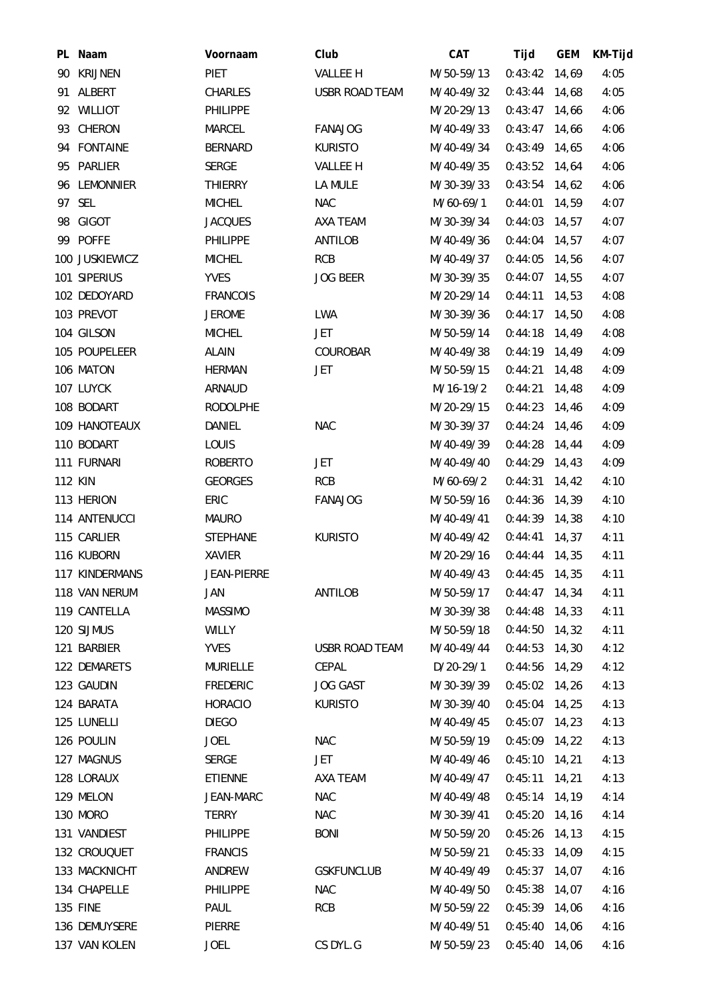| PL Naam        | Voornaam           | Club                  | <b>CAT</b> | Tijd            | <b>GEM</b> | KM-Tijd |
|----------------|--------------------|-----------------------|------------|-----------------|------------|---------|
| 90 KRIJNEN     | <b>PIET</b>        | VALLEE H              | M/50-59/13 | $0:43:42$ 14,69 |            | 4:05    |
| 91 ALBERT      | CHARLES            | <b>USBR ROAD TEAM</b> | M/40-49/32 | $0:43:44$ 14,68 |            | 4:05    |
| 92 WILLIOT     | <b>PHILIPPE</b>    |                       | M/20-29/13 | $0:43:47$ 14,66 |            | 4:06    |
| 93 CHERON      | MARCEL             | <b>FANAJOG</b>        | M/40-49/33 | $0:43:47$ 14,66 |            | 4:06    |
| 94 FONTAINE    | <b>BERNARD</b>     | <b>KURISTO</b>        | M/40-49/34 | $0:43:49$ 14,65 |            | 4:06    |
| 95 PARLIER     | <b>SERGE</b>       | <b>VALLEE H</b>       | M/40-49/35 | $0:43:52$ 14,64 |            | 4:06    |
| 96 LEMONNIER   | <b>THIERRY</b>     | LA MULE               | M/30-39/33 | $0:43:54$ 14,62 |            | 4:06    |
| 97 SEL         | <b>MICHEL</b>      | <b>NAC</b>            | M/60-69/1  | 0:44:01         | 14,59      | 4:07    |
| 98 GIGOT       | <b>JACQUES</b>     | AXA TEAM              | M/30-39/34 | 0:44:03         | 14,57      | 4:07    |
| 99 POFFE       | <b>PHILIPPE</b>    | <b>ANTILOB</b>        | M/40-49/36 | $0:44:04$ 14,57 |            | 4:07    |
| 100 JUSKIEWICZ | <b>MICHEL</b>      | <b>RCB</b>            | M/40-49/37 | 0:44:05         | 14,56      | 4:07    |
| 101 SIPERIUS   | <b>YVES</b>        | <b>JOG BEER</b>       | M/30-39/35 | $0:44:07$ 14,55 |            | 4:07    |
| 102 DEDOYARD   | <b>FRANCOIS</b>    |                       | M/20-29/14 | 0:44:11         | 14,53      | 4:08    |
| 103 PREVOT     | <b>JEROME</b>      | LWA                   | M/30-39/36 | $0:44:17$ 14,50 |            | 4:08    |
| 104 GILSON     | <b>MICHEL</b>      | <b>JET</b>            | M/50-59/14 | 0:44:18         | 14,49      | 4:08    |
| 105 POUPELEER  | ALAIN              | COUROBAR              | M/40-49/38 | $0:44:19$ 14,49 |            | 4:09    |
| 106 MATON      | <b>HERMAN</b>      | JET                   | M/50-59/15 | 0:44:21         | 14,48      | 4:09    |
| 107 LUYCK      | <b>ARNAUD</b>      |                       | M/16-19/2  | 0:44:21         | 14,48      | 4:09    |
| 108 BODART     | <b>RODOLPHE</b>    |                       | M/20-29/15 | 0:44:23         | 14,46      | 4:09    |
| 109 HANOTEAUX  | DANIEL             | <b>NAC</b>            | M/30-39/37 | $0:44:24$ 14,46 |            | 4:09    |
| 110 BODART     | LOUIS              |                       | M/40-49/39 | 0:44:28         | 14,44      | 4:09    |
| 111 FURNARI    | <b>ROBERTO</b>     | <b>JET</b>            | M/40-49/40 | $0:44:29$ 14,43 |            | 4:09    |
| <b>112 KIN</b> | <b>GEORGES</b>     | <b>RCB</b>            | M/60-69/2  | 0:44:31         | 14,42      | 4:10    |
| 113 HERION     | ERIC               | <b>FANAJOG</b>        | M/50-59/16 | $0:44:36$ 14,39 |            | 4:10    |
| 114 ANTENUCCI  | <b>MAURO</b>       |                       | M/40-49/41 | $0:44:39$ 14,38 |            | 4:10    |
| 115 CARLIER    | <b>STEPHANE</b>    | <b>KURISTO</b>        | M/40-49/42 | $0:44:41$ 14,37 |            | 4:11    |
| 116 KUBORN     | <b>XAVIER</b>      |                       | M/20-29/16 | $0:44:44$ 14,35 |            | 4:11    |
| 117 KINDERMANS | <b>JEAN-PIERRE</b> |                       | M/40-49/43 | $0:44:45$ 14,35 |            | 4:11    |
| 118 VAN NERUM  | JAN                | <b>ANTILOB</b>        | M/50-59/17 | $0:44:47$ 14,34 |            | 4:11    |
| 119 CANTELLA   | <b>MASSIMO</b>     |                       | M/30-39/38 | 0:44:48         | 14,33      | 4:11    |
| 120 SIJMUS     | <b>WILLY</b>       |                       | M/50-59/18 | $0:44:50$ 14,32 |            | 4:11    |
| 121 BARBIER    | <b>YVES</b>        | <b>USBR ROAD TEAM</b> | M/40-49/44 | $0:44:53$ 14,30 |            | 4:12    |
| 122 DEMARETS   | <b>MURIELLE</b>    | CEPAL                 | D/20-29/1  | 0:44:56         | 14,29      | 4:12    |
| 123 GAUDIN     | <b>FREDERIC</b>    | <b>JOG GAST</b>       | M/30-39/39 | $0:45:02$ 14,26 |            | 4:13    |
| 124 BARATA     | <b>HORACIO</b>     | <b>KURISTO</b>        | M/30-39/40 | $0:45:04$ 14,25 |            | 4:13    |
| 125 LUNELLI    | <b>DIEGO</b>       |                       | M/40-49/45 | $0:45:07$ 14,23 |            | 4:13    |
| 126 POULIN     | <b>JOEL</b>        | <b>NAC</b>            | M/50-59/19 | 0:45:09         | 14,22      | 4:13    |
| 127 MAGNUS     | <b>SERGE</b>       | JET                   | M/40-49/46 | $0:45:10$ 14,21 |            | 4:13    |
| 128 LORAUX     | <b>ETIENNE</b>     | AXA TEAM              | M/40-49/47 | 0:45:11         | 14,21      | 4:13    |
| 129 MELON      | JEAN-MARC          | <b>NAC</b>            | M/40-49/48 | 0:45:14         | 14,19      | 4:14    |
| 130 MORO       | <b>TERRY</b>       | <b>NAC</b>            | M/30-39/41 | $0:45:20$ 14,16 |            | 4:14    |
| 131 VANDIEST   | PHILIPPE           | <b>BONI</b>           | M/50-59/20 | $0:45:26$ 14,13 |            | 4:15    |
| 132 CROUQUET   | <b>FRANCIS</b>     |                       | M/50-59/21 | 0:45:33         | 14,09      | 4:15    |
| 133 MACKNICHT  | ANDREW             | <b>GSKFUNCLUB</b>     | M/40-49/49 | 0:45:37         | 14,07      | 4:16    |
| 134 CHAPELLE   | <b>PHILIPPE</b>    | <b>NAC</b>            | M/40-49/50 | $0:45:38$ 14,07 |            | 4:16    |
| 135 FINE       | PAUL               | <b>RCB</b>            | M/50-59/22 | $0:45:39$ 14,06 |            | 4:16    |
| 136 DEMUYSERE  | PIERRE             |                       | M/40-49/51 | 0:45:40         | 14,06      | 4:16    |
| 137 VAN KOLEN  | <b>JOEL</b>        | CS DYL.G              | M/50-59/23 | $0:45:40$ 14,06 |            | 4:16    |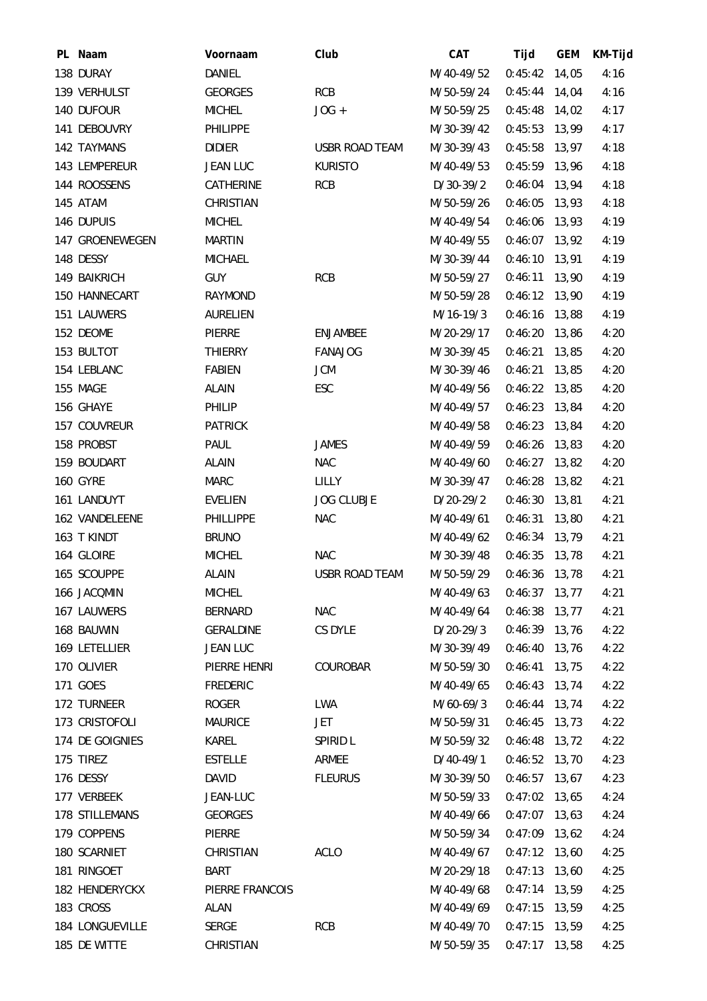| PL Naam         | Voornaam         | Club                  | CAT         | Tijd            | <b>GEM</b> | KM-Tijd |
|-----------------|------------------|-----------------------|-------------|-----------------|------------|---------|
| 138 DURAY       | DANIEL           |                       | M/40-49/52  | $0:45:42$ 14,05 |            | 4:16    |
| 139 VERHULST    | <b>GEORGES</b>   | <b>RCB</b>            | M/50-59/24  | $0:45:44$ 14,04 |            | 4:16    |
| 140 DUFOUR      | <b>MICHEL</b>    | $JOG +$               | M/50-59/25  | $0:45:48$ 14,02 |            | 4:17    |
| 141 DEBOUVRY    | <b>PHILIPPE</b>  |                       | M/30-39/42  | $0:45:53$ 13,99 |            | 4:17    |
| 142 TAYMANS     | <b>DIDIER</b>    | <b>USBR ROAD TEAM</b> | M/30-39/43  | 0:45:58         | 13,97      | 4:18    |
| 143 LEMPEREUR   | <b>JEAN LUC</b>  | <b>KURISTO</b>        | M/40-49/53  | $0:45:59$ 13,96 |            | 4:18    |
| 144 ROOSSENS    | CATHERINE        | <b>RCB</b>            | D/30-39/2   | $0:46:04$ 13,94 |            | 4:18    |
| 145 ATAM        | CHRISTIAN        |                       | M/50-59/26  | 0:46:05         | 13,93      | 4:18    |
| 146 DUPUIS      | <b>MICHEL</b>    |                       | M/40-49/54  | 0:46:06         | 13,93      | 4:19    |
| 147 GROENEWEGEN | <b>MARTIN</b>    |                       | M/40-49/55  | $0:46:07$ 13,92 |            | 4:19    |
| 148 DESSY       | <b>MICHAEL</b>   |                       | M/30-39/44  | $0:46:10$ 13,91 |            | 4:19    |
| 149 BAIKRICH    | <b>GUY</b>       | <b>RCB</b>            | M/50-59/27  | 0:46:11         | 13,90      | 4:19    |
| 150 HANNECART   | <b>RAYMOND</b>   |                       | M/50-59/28  | $0:46:12$ 13,90 |            | 4:19    |
| 151 LAUWERS     | <b>AURELIEN</b>  |                       | M/16-19/3   | 0:46:16         | 13,88      | 4:19    |
| 152 DEOME       | PIERRE           | <b>ENJAMBEE</b>       | M/20-29/17  | 0:46:20         | 13,86      | 4:20    |
| 153 BULTOT      | <b>THIERRY</b>   | <b>FANAJOG</b>        | M/30-39/45  | 0:46:21         | 13,85      | 4:20    |
| 154 LEBLANC     | <b>FABIEN</b>    | <b>JCM</b>            | M/30-39/46  | 0:46:21         | 13,85      | 4:20    |
| 155 MAGE        | <b>ALAIN</b>     | ESC                   | M/40-49/56  | 0:46:22         | 13,85      | 4:20    |
| 156 GHAYE       | PHILIP           |                       | M/40-49/57  | $0:46:23$ 13,84 |            | 4:20    |
| 157 COUVREUR    | <b>PATRICK</b>   |                       | M/40-49/58  | 0:46:23         | 13,84      | 4:20    |
| 158 PROBST      | PAUL             | <b>JAMES</b>          | M/40-49/59  | 0:46:26         | 13,83      | 4:20    |
| 159 BOUDART     | <b>ALAIN</b>     | <b>NAC</b>            | M/40-49/60  | $0:46:27$ 13,82 |            | 4:20    |
| <b>160 GYRE</b> | <b>MARC</b>      | <b>LILLY</b>          | M/30-39/47  | $0:46:28$ 13,82 |            | 4:21    |
| 161 LANDUYT     | <b>EVELIEN</b>   | <b>JOG CLUBJE</b>     | $D/20-29/2$ | $0:46:30$ 13,81 |            | 4:21    |
| 162 VANDELEENE  | <b>PHILLIPPE</b> | <b>NAC</b>            | M/40-49/61  | 0:46:31         | 13,80      | 4:21    |
| 163 T KINDT     | <b>BRUNO</b>     |                       | M/40-49/62  | $0:46:34$ 13,79 |            | 4:21    |
| 164 GLOIRE      | <b>MICHEL</b>    | <b>NAC</b>            | M/30-39/48  | $0:46:35$ 13,78 |            | 4:21    |
| 165 SCOUPPE     | <b>ALAIN</b>     | USBR ROAD TEAM        | M/50-59/29  | 0:46:36         | 13,78      | 4:21    |
| 166 JACQMIN     | <b>MICHEL</b>    |                       | M/40-49/63  | $0:46:37$ 13,77 |            | 4:21    |
| 167 LAUWERS     | <b>BERNARD</b>   | <b>NAC</b>            | M/40-49/64  | 0:46:38         | 13,77      | 4:21    |
| 168 BAUWIN      | <b>GERALDINE</b> | CS DYLE               | $D/20-29/3$ | 0:46:39 13,76   |            | 4:22    |
| 169 LETELLIER   | <b>JEAN LUC</b>  |                       | M/30-39/49  | $0:46:40$ 13,76 |            | 4:22    |
| 170 OLIVIER     | PIERRE HENRI     | COUROBAR              | M/50-59/30  | 0:46:41         | 13,75      | 4:22    |
| 171 GOES        | <b>FREDERIC</b>  |                       | M/40-49/65  | $0:46:43$ 13,74 |            | 4:22    |
| 172 TURNEER     | <b>ROGER</b>     | <b>LWA</b>            | M/60-69/3   | $0:46:44$ 13,74 |            | 4:22    |
| 173 CRISTOFOLI  | <b>MAURICE</b>   | <b>JET</b>            | M/50-59/31  | $0:46:45$ 13,73 |            | 4:22    |
| 174 DE GOIGNIES | KAREL            | SPIRID L              | M/50-59/32  | 0:46:48         | 13,72      | 4:22    |
| 175 TIREZ       | <b>ESTELLE</b>   | ARMEE                 | D/40-49/1   | $0:46:52$ 13,70 |            | 4:23    |
| 176 DESSY       | <b>DAVID</b>     | <b>FLEURUS</b>        | M/30-39/50  | $0:46:57$ 13,67 |            | 4:23    |
| 177 VERBEEK     | JEAN-LUC         |                       | M/50-59/33  | 0:47:02         | 13,65      | 4:24    |
| 178 STILLEMANS  | <b>GEORGES</b>   |                       | M/40-49/66  | $0:47:07$ 13,63 |            | 4:24    |
| 179 COPPENS     | PIERRE           |                       | M/50-59/34  | $0:47:09$ 13,62 |            | 4:24    |
| 180 SCARNIET    | CHRISTIAN        | <b>ACLO</b>           | M/40-49/67  | 0:47:12         | 13,60      | 4:25    |
| 181 RINGOET     | <b>BART</b>      |                       | M/20-29/18  | $0:47:13$ 13,60 |            | 4:25    |
| 182 HENDERYCKX  | PIERRE FRANCOIS  |                       | M/40-49/68  | $0:47:14$ 13,59 |            | 4:25    |
| 183 CROSS       | <b>ALAN</b>      |                       | M/40-49/69  | 0:47:15         | 13,59      | 4:25    |
| 184 LONGUEVILLE | <b>SERGE</b>     | <b>RCB</b>            | M/40-49/70  | 0:47:15         | 13,59      | 4:25    |
| 185 DE WITTE    | CHRISTIAN        |                       | M/50-59/35  | 0:47:17         | 13,58      | 4:25    |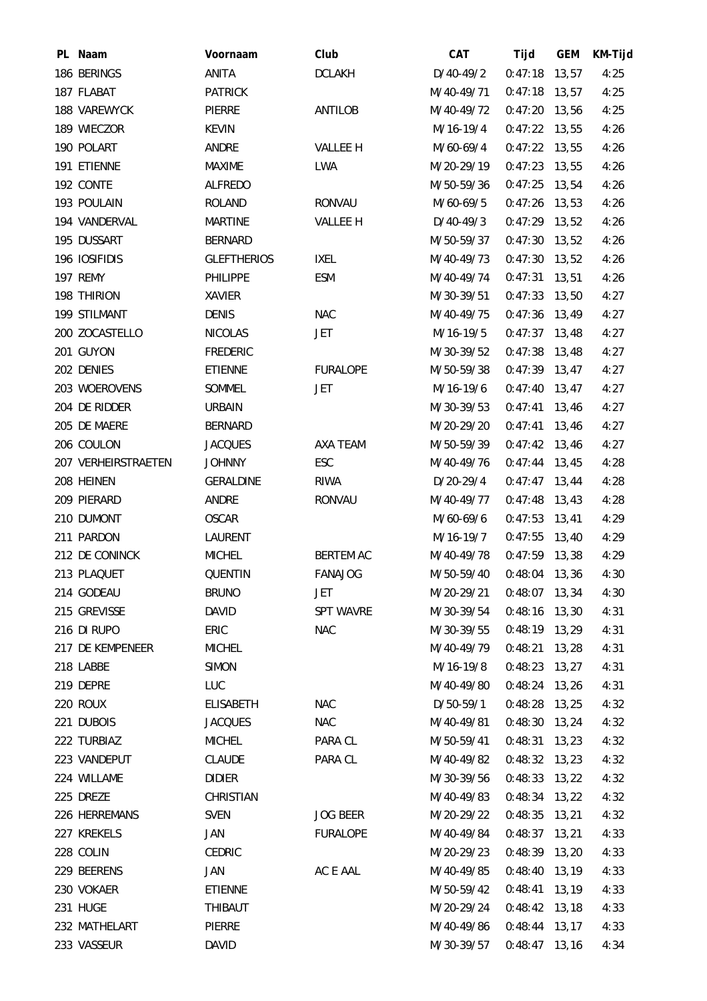| PL Naam             | Voornaam           | Club             | CAT         | Tijd            | <b>GEM</b> | KM-Tijd |
|---------------------|--------------------|------------------|-------------|-----------------|------------|---------|
| 186 BERINGS         | ANITA              | <b>DCLAKH</b>    | $D/40-49/2$ | $0:47:18$ 13,57 |            | 4:25    |
| 187 FLABAT          | <b>PATRICK</b>     |                  | M/40-49/71  | 0:47:18         | 13,57      | 4:25    |
| 188 VAREWYCK        | <b>PIERRE</b>      | ANTILOB          | M/40-49/72  | $0:47:20$ 13,56 |            | 4:25    |
| 189 WIECZOR         | <b>KEVIN</b>       |                  | M/16-19/4   | $0:47:22$ 13,55 |            | 4:26    |
| 190 POLART          | ANDRE              | <b>VALLEE H</b>  | M/60-69/4   | 0:47:22         | 13,55      | 4:26    |
| 191 ETIENNE         | MAXIME             | <b>LWA</b>       | M/20-29/19  | $0:47:23$ 13,55 |            | 4:26    |
| 192 CONTE           | ALFREDO            |                  | M/50-59/36  | $0:47:25$ 13,54 |            | 4:26    |
| 193 POULAIN         | <b>ROLAND</b>      | <b>RONVAU</b>    | M/60-69/5   | 0:47:26         | 13,53      | 4:26    |
| 194 VANDERVAL       | <b>MARTINE</b>     | VALLEE H         | $D/40-49/3$ | 0:47:29         | 13,52      | 4:26    |
| 195 DUSSART         | <b>BERNARD</b>     |                  | M/50-59/37  | $0:47:30$ 13,52 |            | 4:26    |
| 196 IOSIFIDIS       | <b>GLEFTHERIOS</b> | <b>IXEL</b>      | M/40-49/73  | $0:47:30$ 13,52 |            | 4:26    |
| 197 REMY            | PHILIPPE           | <b>ESM</b>       | M/40-49/74  | 0:47:31         | 13,51      | 4:26    |
| 198 THIRION         | XAVIER             |                  | M/30-39/51  | $0:47:33$ 13,50 |            | 4:27    |
| 199 STILMANT        | <b>DENIS</b>       | <b>NAC</b>       | M/40-49/75  | $0:47:36$ 13,49 |            | 4:27    |
| 200 ZOCASTELLO      | <b>NICOLAS</b>     | JET              | M/16-19/5   | $0:47:37$ 13,48 |            | 4:27    |
| 201 GUYON           | <b>FREDERIC</b>    |                  | M/30-39/52  | $0:47:38$ 13,48 |            | 4:27    |
| 202 DENIES          | <b>ETIENNE</b>     | <b>FURALOPE</b>  | M/50-59/38  | $0:47:39$ 13,47 |            | 4:27    |
| 203 WOEROVENS       | SOMMEL             | JET              | M/16-19/6   | $0:47:40$ 13,47 |            | 4:27    |
| 204 DE RIDDER       | <b>URBAIN</b>      |                  | M/30-39/53  | 0:47:41         | 13,46      | 4:27    |
| 205 DE MAERE        | <b>BERNARD</b>     |                  | M/20-29/20  | 0:47:41         | 13,46      | 4:27    |
| 206 COULON          | <b>JACQUES</b>     | AXA TEAM         | M/50-59/39  | $0:47:42$ 13,46 |            | 4:27    |
| 207 VERHEIRSTRAETEN | <b>JOHNNY</b>      | ESC              | M/40-49/76  | $0:47:44$ 13,45 |            | 4:28    |
| 208 HEINEN          | <b>GERALDINE</b>   | <b>RIWA</b>      | $D/20-29/4$ | $0:47:47$ 13,44 |            | 4:28    |
| 209 PIERARD         | ANDRE              | <b>RONVAU</b>    | M/40-49/77  | $0:47:48$ 13,43 |            | 4:28    |
| 210 DUMONT          | <b>OSCAR</b>       |                  | M/60-69/6   | $0:47:53$ 13,41 |            | 4:29    |
| 211 PARDON          | LAURENT            |                  | M/16-19/7   | $0:47:55$ 13,40 |            | 4:29    |
| 212 DE CONINCK      | <b>MICHEL</b>      | <b>BERTEM AC</b> | M/40-49/78  | $0:47:59$ 13,38 |            | 4:29    |
| 213 PLAQUET         | <b>QUENTIN</b>     | <b>FANAJOG</b>   | M/50-59/40  | 0:48:04         | 13,36      | 4:30    |
| 214 GODEAU          | <b>BRUNO</b>       | JET              | M/20-29/21  | $0:48:07$ 13,34 |            | 4:30    |
| 215 GREVISSE        | <b>DAVID</b>       | <b>SPT WAVRE</b> | M/30-39/54  | 0:48:16         | 13,30      | 4:31    |
| 216 DI RUPO         | ERIC               | <b>NAC</b>       | M/30-39/55  | $0:48:19$ 13,29 |            | 4:31    |
| 217 DE KEMPENEER    | <b>MICHEL</b>      |                  | M/40-49/79  | 0:48:21         | 13,28      | 4:31    |
| 218 LABBE           | <b>SIMON</b>       |                  | M/16-19/8   | 0:48:23         | 13,27      | 4:31    |
| 219 DEPRE           | LUC                |                  | M/40-49/80  | 0:48:24         | 13,26      | 4:31    |
| 220 ROUX            | <b>ELISABETH</b>   | <b>NAC</b>       | $D/50-59/1$ | $0:48:28$ 13,25 |            | 4:32    |
| 221 DUBOIS          | <b>JACQUES</b>     | <b>NAC</b>       | M/40-49/81  | $0:48:30$ 13,24 |            | 4:32    |
| 222 TURBIAZ         | <b>MICHEL</b>      | PARA CL          | M/50-59/41  | 0:48:31         | 13,23      | 4:32    |
| 223 VANDEPUT        | <b>CLAUDE</b>      | PARA CL          | M/40-49/82  | $0:48:32$ 13,23 |            | 4:32    |
| 224 WILLAME         | <b>DIDIER</b>      |                  | M/30-39/56  | $0:48:33$ 13,22 |            | 4:32    |
| 225 DREZE           | CHRISTIAN          |                  | M/40-49/83  | 0:48:34         | 13,22      | 4:32    |
| 226 HERREMANS       | <b>SVEN</b>        | <b>JOG BEER</b>  | M/20-29/22  | $0:48:35$ 13,21 |            | 4:32    |
| 227 KREKELS         | JAN                | <b>FURALOPE</b>  | M/40-49/84  | $0:48:37$ 13,21 |            | 4:33    |
| 228 COLIN           | <b>CEDRIC</b>      |                  | M/20-29/23  | $0:48:39$ 13,20 |            | 4:33    |
| 229 BEERENS         | JAN                | AC E AAL         | M/40-49/85  | 0:48:40         | 13,19      | 4:33    |
| 230 VOKAER          | ETIENNE            |                  | M/50-59/42  | 0:48:41         | 13,19      | 4:33    |
| 231 HUGE            | THIBAUT            |                  | M/20-29/24  | $0:48:42$ 13,18 |            | 4:33    |
| 232 MATHELART       | PIERRE             |                  | M/40-49/86  | 0:48:44         | 13,17      | 4:33    |
| 233 VASSEUR         | DAVID              |                  | M/30-39/57  | $0:48:47$ 13,16 |            | 4:34    |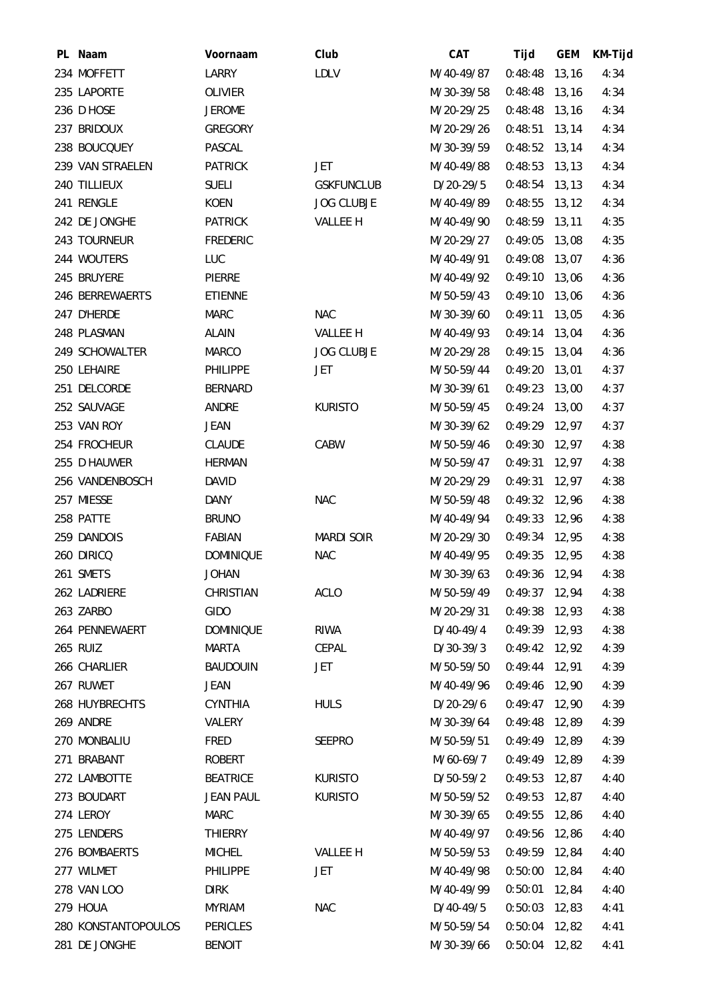| PL Naam             | Voornaam         | Club              | <b>CAT</b>  | Tijd            | <b>GEM</b> | KM-Tijd |
|---------------------|------------------|-------------------|-------------|-----------------|------------|---------|
| 234 MOFFETT         | LARRY            | LDLV              | M/40-49/87  | $0:48:48$ 13,16 |            | 4:34    |
| 235 LAPORTE         | OLIVIER          |                   | M/30-39/58  | 0:48:48         | 13, 16     | 4:34    |
| 236 D HOSE          | <b>JEROME</b>    |                   | M/20-29/25  | $0:48:48$ 13,16 |            | 4:34    |
| 237 BRIDOUX         | <b>GREGORY</b>   |                   | M/20-29/26  | $0:48:51$ 13,14 |            | 4:34    |
| 238 BOUCQUEY        | PASCAL           |                   | M/30-39/59  | $0:48:52$ 13,14 |            | 4:34    |
| 239 VAN STRAELEN    | <b>PATRICK</b>   | JET               | M/40-49/88  | $0:48:53$ 13,13 |            | 4:34    |
| 240 TILLIEUX        | <b>SUELI</b>     | <b>GSKFUNCLUB</b> | D/20-29/5   | $0:48:54$ 13,13 |            | 4:34    |
| 241 RENGLE          | KOEN             | <b>JOG CLUBJE</b> | M/40-49/89  | $0:48:55$ 13,12 |            | 4:34    |
| 242 DE JONGHE       | <b>PATRICK</b>   | VALLEE H          | M/40-49/90  | 0:48:59         | 13, 11     | 4:35    |
| 243 TOURNEUR        | <b>FREDERIC</b>  |                   | M/20-29/27  | $0:49:05$ 13,08 |            | 4:35    |
| 244 WOUTERS         | LUC              |                   | M/40-49/91  | $0:49:08$ 13,07 |            | 4:36    |
| 245 BRUYERE         | PIERRE           |                   | M/40-49/92  | 0:49:10         | 13,06      | 4:36    |
| 246 BERREWAERTS     | ETIENNE          |                   | M/50-59/43  | $0:49:10$ 13,06 |            | 4:36    |
| 247 D'HERDE         | <b>MARC</b>      | <b>NAC</b>        | M/30-39/60  | $0:49:11$ 13,05 |            | 4:36    |
| 248 PLASMAN         | <b>ALAIN</b>     | VALLEE H          | M/40-49/93  | 0:49:14         | 13,04      | 4:36    |
| 249 SCHOWALTER      | <b>MARCO</b>     | <b>JOG CLUBJE</b> | M/20-29/28  | $0:49:15$ 13,04 |            | 4:36    |
| 250 LEHAIRE         | <b>PHILIPPE</b>  | JET               | M/50-59/44  | $0:49:20$ 13,01 |            | 4:37    |
| 251 DELCORDE        | <b>BERNARD</b>   |                   | M/30-39/61  | 0:49:23         | 13,00      | 4:37    |
| 252 SAUVAGE         | ANDRE            | <b>KURISTO</b>    | M/50-59/45  | 0:49:24         | 13,00      | 4:37    |
| 253 VAN ROY         | <b>JEAN</b>      |                   | M/30-39/62  | $0:49:29$ 12,97 |            | 4:37    |
| 254 FROCHEUR        | <b>CLAUDE</b>    | CABW              | M/50-59/46  | $0:49:30$ 12,97 |            | 4:38    |
| 255 D HAUWER        | <b>HERMAN</b>    |                   | M/50-59/47  | 0:49:31         | 12,97      | 4:38    |
| 256 VANDENBOSCH     | <b>DAVID</b>     |                   | M/20-29/29  | 0:49:31         | 12,97      | 4:38    |
| 257 MIESSE          | <b>DANY</b>      | <b>NAC</b>        | M/50-59/48  | $0:49:32$ 12,96 |            | 4:38    |
| 258 PATTE           | <b>BRUNO</b>     |                   | M/40-49/94  | 0:49:33         | 12,96      | 4:38    |
| 259 DANDOIS         | FABIAN           | <b>MARDI SOIR</b> | M/20-29/30  | $0:49:34$ 12,95 |            | 4:38    |
| 260 DIRICQ          | <b>DOMINIQUE</b> | <b>NAC</b>        | M/40-49/95  | $0:49:35$ 12,95 |            | 4:38    |
| 261 SMETS           | <b>JOHAN</b>     |                   | M/30-39/63  | 0:49:36         | 12,94      | 4:38    |
| 262 LADRIERE        | CHRISTIAN        | <b>ACLO</b>       | M/50-59/49  | $0:49:37$ 12,94 |            | 4:38    |
| 263 ZARBO           | <b>GIDO</b>      |                   | M/20-29/31  | $0:49:38$ 12,93 |            | 4:38    |
| 264 PENNEWAERT      | <b>DOMINIQUE</b> | <b>RIWA</b>       | D/40-49/4   | $0:49:39$ 12,93 |            | 4:38    |
| 265 RUIZ            | MARTA            | CEPAL             | $D/30-39/3$ | $0:49:42$ 12,92 |            | 4:39    |
| 266 CHARLIER        | <b>BAUDOUIN</b>  | JET               | M/50-59/50  | $0:49:44$ 12,91 |            | 4:39    |
| 267 RUWET           | JEAN             |                   | M/40-49/96  | $0:49:46$ 12,90 |            | 4:39    |
| 268 HUYBRECHTS      | <b>CYNTHIA</b>   | <b>HULS</b>       | D/20-29/6   | $0:49:47$ 12,90 |            | 4:39    |
| 269 ANDRE           | VALERY           |                   | M/30-39/64  | $0:49:48$ 12,89 |            | 4:39    |
| 270 MONBALIU        | <b>FRED</b>      | SEEPRO            | M/50-59/51  | $0:49:49$ 12,89 |            | 4:39    |
| 271 BRABANT         | ROBERT           |                   | M/60-69/7   | $0:49:49$ 12,89 |            | 4:39    |
| 272 LAMBOTTE        | <b>BEATRICE</b>  | <b>KURISTO</b>    | D/50-59/2   | $0:49:53$ 12,87 |            | 4:40    |
| 273 BOUDART         | <b>JEAN PAUL</b> | <b>KURISTO</b>    | M/50-59/52  | 0:49:53         | 12,87      | 4:40    |
| 274 LEROY           | <b>MARC</b>      |                   | M/30-39/65  | $0:49:55$ 12,86 |            | 4:40    |
| 275 LENDERS         | <b>THIERRY</b>   |                   | M/40-49/97  | 0:49:56 12,86   |            | 4:40    |
| 276 BOMBAERTS       | <b>MICHEL</b>    | <b>VALLEE H</b>   | M/50-59/53  | $0:49:59$ 12,84 |            | 4:40    |
| 277 WILMET          | <b>PHILIPPE</b>  | JET               | M/40-49/98  | $0:50:00$ 12,84 |            | 4:40    |
| 278 VAN LOO         | <b>DIRK</b>      |                   | M/40-49/99  | $0:50:01$ 12,84 |            | 4:40    |
| 279 HOUA            | <b>MYRIAM</b>    | <b>NAC</b>        | D/40-49/5   | $0:50:03$ 12,83 |            | 4:41    |
| 280 KONSTANTOPOULOS | <b>PERICLES</b>  |                   | M/50-59/54  | $0:50:04$ 12,82 |            | 4:41    |
| 281 DE JONGHE       | <b>BENOIT</b>    |                   | M/30-39/66  | $0:50:04$ 12,82 |            | 4:41    |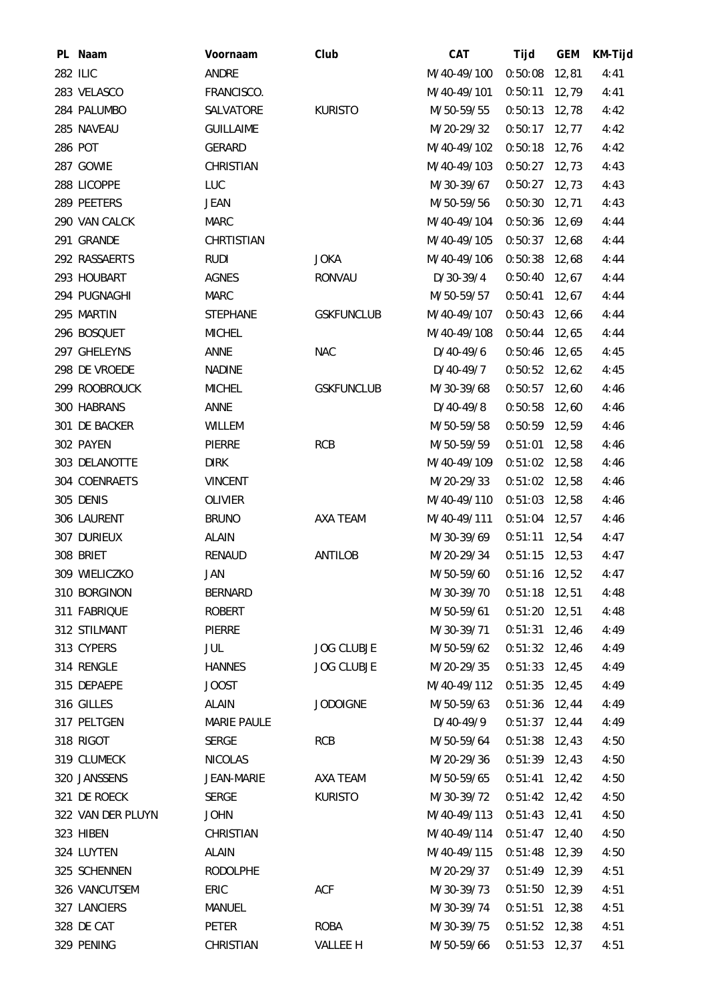| PL Naam           | Voornaam           | Club              | CAT         | Tijd            | <b>GEM</b> | KM-Tijd |
|-------------------|--------------------|-------------------|-------------|-----------------|------------|---------|
| <b>282 ILIC</b>   | ANDRE              |                   | M/40-49/100 | $0:50:08$ 12,81 |            | 4:41    |
| 283 VELASCO       | FRANCISCO.         |                   | M/40-49/101 | 0:50:11         | 12,79      | 4:41    |
| 284 PALUMBO       | SALVATORE          | <b>KURISTO</b>    | M/50-59/55  | $0:50:13$ 12,78 |            | 4:42    |
| 285 NAVEAU        | <b>GUILLAIME</b>   |                   | M/20-29/32  | $0:50:17$ 12,77 |            | 4:42    |
| 286 POT           | <b>GERARD</b>      |                   | M/40-49/102 | 0:50:18         | 12,76      | 4:42    |
| 287 GOWIE         | CHRISTIAN          |                   | M/40-49/103 | $0:50:27$ 12,73 |            | 4:43    |
| 288 LICOPPE       | LUC                |                   | M/30-39/67  | $0:50:27$ 12,73 |            | 4:43    |
| 289 PEETERS       | JEAN               |                   | M/50-59/56  | 0:50:30         | 12,71      | 4:43    |
| 290 VAN CALCK     | <b>MARC</b>        |                   | M/40-49/104 | 0:50:36         | 12,69      | 4:44    |
| 291 GRANDE        | CHRTISTIAN         |                   | M/40-49/105 | $0:50:37$ 12,68 |            | 4:44    |
| 292 RASSAERTS     | <b>RUDI</b>        | <b>JOKA</b>       | M/40-49/106 | $0:50:38$ 12,68 |            | 4:44    |
| 293 HOUBART       | <b>AGNES</b>       | <b>RONVAU</b>     | D/30-39/4   | 0:50:40         | 12,67      | 4:44    |
| 294 PUGNAGHI      | <b>MARC</b>        |                   | M/50-59/57  | 0:50:41         | 12,67      | 4:44    |
| 295 MARTIN        | <b>STEPHANE</b>    | <b>GSKFUNCLUB</b> | M/40-49/107 | $0:50:43$ 12,66 |            | 4:44    |
| 296 BOSQUET       | <b>MICHEL</b>      |                   | M/40-49/108 | 0:50:44         | 12,65      | 4:44    |
| 297 GHELEYNS      | ANNE               | <b>NAC</b>        | $D/40-49/6$ | $0:50:46$ 12,65 |            | 4:45    |
| 298 DE VROEDE     | <b>NADINE</b>      |                   | $D/40-49/7$ | $0:50:52$ 12,62 |            | 4:45    |
| 299 ROOBROUCK     | <b>MICHEL</b>      | <b>GSKFUNCLUB</b> | M/30-39/68  | $0:50:57$ 12,60 |            | 4:46    |
| 300 HABRANS       | ANNE               |                   | D/40-49/8   | $0:50:58$ 12,60 |            | 4:46    |
| 301 DE BACKER     | WILLEM             |                   | M/50-59/58  | $0:50:59$ 12,59 |            | 4:46    |
| 302 PAYEN         | PIERRE             | <b>RCB</b>        | M/50-59/59  | 0:51:01         | 12,58      | 4:46    |
| 303 DELANOTTE     | <b>DIRK</b>        |                   | M/40-49/109 | 0:51:02         | 12,58      | 4:46    |
| 304 COENRAETS     | <b>VINCENT</b>     |                   | M/20-29/33  | $0:51:02$ 12,58 |            | 4:46    |
| 305 DENIS         | OLIVIER            |                   | M/40-49/110 | $0:51:03$ 12,58 |            | 4:46    |
| 306 LAURENT       | <b>BRUNO</b>       | AXA TEAM          | M/40-49/111 | 0:51:04         | 12,57      | 4:46    |
| 307 DURIEUX       | ALAIN              |                   | M/30-39/69  | 0:51:11         | 12,54      | 4:47    |
| 308 BRIET         | <b>RENAUD</b>      | <b>ANTILOB</b>    | M/20-29/34  | $0:51:15$ 12,53 |            | 4:47    |
| 309 WIELICZKO     | JAN                |                   | M/50-59/60  | 0:51:16         | 12,52      | 4:47    |
| 310 BORGINON      | <b>BERNARD</b>     |                   | M/30-39/70  | $0:51:18$ 12,51 |            | 4:48    |
| 311 FABRIQUE      | <b>ROBERT</b>      |                   | M/50-59/61  | $0:51:20$ 12,51 |            | 4:48    |
| 312 STILMANT      | PIERRE             |                   | M/30-39/71  | $0:51:31$ 12,46 |            | 4:49    |
| 313 CYPERS        | JUL                | <b>JOG CLUBJE</b> | M/50-59/62  | $0:51:32$ 12,46 |            | 4:49    |
| 314 RENGLE        | <b>HANNES</b>      | <b>JOG CLUBJE</b> | M/20-29/35  | $0:51:33$ 12,45 |            | 4:49    |
| 315 DEPAEPE       | <b>JOOST</b>       |                   | M/40-49/112 | $0:51:35$ 12,45 |            | 4:49    |
| 316 GILLES        | ALAIN              | <b>JODOIGNE</b>   | M/50-59/63  | $0:51:36$ 12,44 |            | 4:49    |
| 317 PELTGEN       | <b>MARIE PAULE</b> |                   | D/40-49/9   | $0:51:37$ 12,44 |            | 4:49    |
| 318 RIGOT         | <b>SERGE</b>       | <b>RCB</b>        | M/50-59/64  | $0:51:38$ 12,43 |            | 4:50    |
| 319 CLUMECK       | <b>NICOLAS</b>     |                   | M/20-29/36  | $0:51:39$ 12,43 |            | 4:50    |
| 320 JANSSENS      | JEAN-MARIE         | AXA TEAM          | M/50-59/65  | $0:51:41$ 12,42 |            | 4:50    |
| 321 DE ROECK      | SERGE              | <b>KURISTO</b>    | M/30-39/72  | $0:51:42$ 12,42 |            | 4:50    |
| 322 VAN DER PLUYN | <b>JOHN</b>        |                   | M/40-49/113 | $0:51:43$ 12,41 |            | 4:50    |
| 323 HIBEN         | CHRISTIAN          |                   | M/40-49/114 | $0:51:47$ 12,40 |            | 4:50    |
| 324 LUYTEN        | <b>ALAIN</b>       |                   | M/40-49/115 | $0:51:48$ 12,39 |            | 4:50    |
| 325 SCHENNEN      | <b>RODOLPHE</b>    |                   | M/20-29/37  | $0:51:49$ 12,39 |            | 4:51    |
| 326 VANCUTSEM     | ERIC               | <b>ACF</b>        | M/30-39/73  | $0:51:50$ 12,39 |            | 4:51    |
| 327 LANCIERS      | MANUEL             |                   | M/30-39/74  | $0:51:51$ 12,38 |            | 4:51    |
| 328 DE CAT        | PETER              | <b>ROBA</b>       | M/30-39/75  | $0:51:52$ 12,38 |            | 4:51    |
| 329 PENING        | CHRISTIAN          | <b>VALLEE H</b>   | M/50-59/66  | $0:51:53$ 12,37 |            | 4:51    |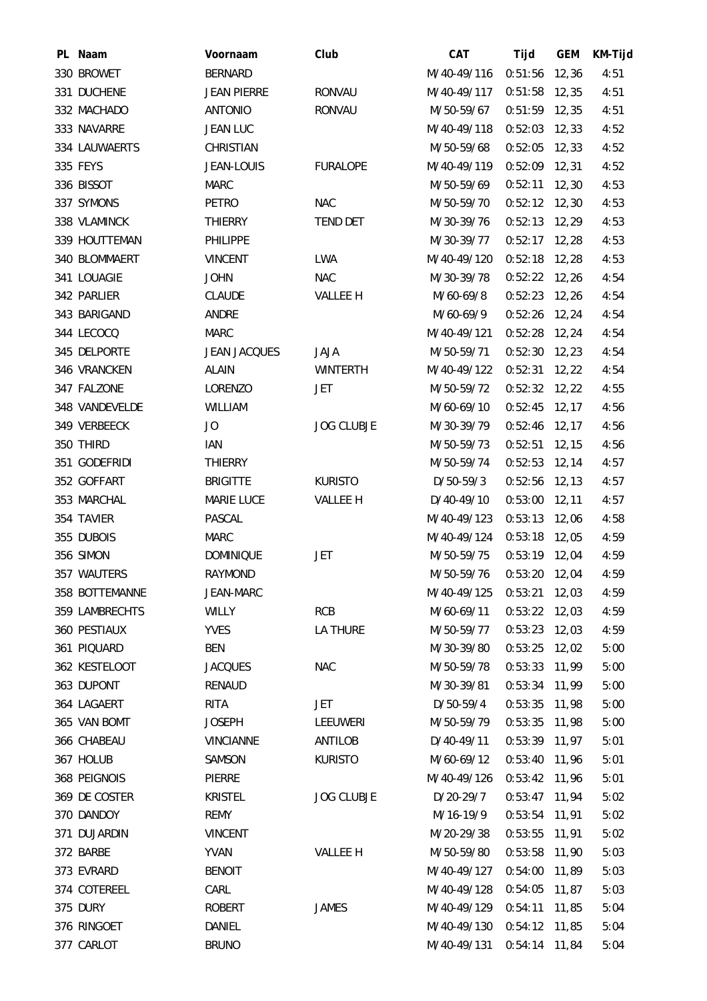| PL Naam        | Voornaam            | Club              | CAT         | Tijd            | <b>GEM</b> | KM-Tijd |
|----------------|---------------------|-------------------|-------------|-----------------|------------|---------|
| 330 BROWET     | <b>BERNARD</b>      |                   | M/40-49/116 | $0:51:56$ 12,36 |            | 4:51    |
| 331 DUCHENE    | <b>JEAN PIERRE</b>  | <b>RONVAU</b>     | M/40-49/117 | 0:51:58         | 12,35      | 4:51    |
| 332 MACHADO    | <b>ANTONIO</b>      | <b>RONVAU</b>     | M/50-59/67  | $0:51:59$ 12,35 |            | 4:51    |
| 333 NAVARRE    | <b>JEAN LUC</b>     |                   | M/40-49/118 | $0:52:03$ 12,33 |            | 4:52    |
| 334 LAUWAERTS  | CHRISTIAN           |                   | M/50-59/68  | 0:52:05         | 12,33      | 4:52    |
| 335 FEYS       | JEAN-LOUIS          | <b>FURALOPE</b>   | M/40-49/119 | $0:52:09$ 12,31 |            | 4:52    |
| 336 BISSOT     | <b>MARC</b>         |                   | M/50-59/69  | $0:52:11$ 12,30 |            | 4:53    |
| 337 SYMONS     | PETRO               | <b>NAC</b>        | M/50-59/70  | $0:52:12$ 12,30 |            | 4:53    |
| 338 VLAMINCK   | <b>THIERRY</b>      | <b>TEND DET</b>   | M/30-39/76  | $0:52:13$ 12,29 |            | 4:53    |
| 339 HOUTTEMAN  | <b>PHILIPPE</b>     |                   | M/30-39/77  | $0:52:17$ 12,28 |            | 4:53    |
| 340 BLOMMAERT  | <b>VINCENT</b>      | LWA               | M/40-49/120 | $0:52:18$ 12,28 |            | 4:53    |
| 341 LOUAGIE    | <b>JOHN</b>         | <b>NAC</b>        | M/30-39/78  | $0:52:22$ 12,26 |            | 4:54    |
| 342 PARLIER    | <b>CLAUDE</b>       | <b>VALLEE H</b>   | M/60-69/8   | $0:52:23$ 12,26 |            | 4:54    |
| 343 BARIGAND   | ANDRE               |                   | M/60-69/9   | $0:52:26$ 12,24 |            | 4:54    |
| 344 LECOCQ     | <b>MARC</b>         |                   | M/40-49/121 | $0:52:28$ 12,24 |            | 4:54    |
| 345 DELPORTE   | <b>JEAN JACQUES</b> | <b>JAJA</b>       | M/50-59/71  | $0:52:30$ 12,23 |            | 4:54    |
| 346 VRANCKEN   | <b>ALAIN</b>        | <b>WINTERTH</b>   | M/40-49/122 | $0:52:31$ 12,22 |            | 4:54    |
| 347 FALZONE    | LORENZO             | JET               | M/50-59/72  | $0:52:32$ 12,22 |            | 4:55    |
| 348 VANDEVELDE | <b>WILLIAM</b>      |                   | M/60-69/10  | $0:52:45$ 12,17 |            | 4:56    |
| 349 VERBEECK   | JO                  | <b>JOG CLUBJE</b> | M/30-39/79  | $0:52:46$ 12,17 |            | 4:56    |
| 350 THIRD      | IAN                 |                   | M/50-59/73  | $0:52:51$ 12,15 |            | 4:56    |
| 351 GODEFRIDI  | <b>THIERRY</b>      |                   | M/50-59/74  | 0:52:53         | 12, 14     | 4:57    |
| 352 GOFFART    | <b>BRIGITTE</b>     | <b>KURISTO</b>    | $D/50-59/3$ | $0:52:56$ 12,13 |            | 4:57    |
| 353 MARCHAL    | <b>MARIE LUCE</b>   | VALLEE H          | D/40-49/10  | $0:53:00$ 12,11 |            | 4:57    |
| 354 TAVIER     | PASCAL              |                   | M/40-49/123 | $0:53:13$ 12,06 |            | 4:58    |
| 355 DUBOIS     | <b>MARC</b>         |                   | M/40-49/124 | $0:53:18$ 12,05 |            | 4:59    |
| 356 SIMON      | <b>DOMINIQUE</b>    | JET               | M/50-59/75  | $0:53:19$ 12,04 |            | 4:59    |
| 357 WAUTERS    | RAYMOND             |                   | M/50-59/76  | 0:53:20         | 12,04      | 4:59    |
| 358 BOTTEMANNE | JEAN-MARC           |                   | M/40-49/125 | 0:53:21         | 12,03      | 4:59    |
| 359 LAMBRECHTS | <b>WILLY</b>        | <b>RCB</b>        | M/60-69/11  | 0:53:22         | 12,03      | 4:59    |
| 360 PESTIAUX   | <b>YVES</b>         | <b>LA THURE</b>   | M/50-59/77  | $0:53:23$ 12,03 |            | 4:59    |
| 361 PIQUARD    | <b>BEN</b>          |                   | M/30-39/80  | 0:53:25         | 12,02      | 5:00    |
| 362 KESTELOOT  | <b>JACQUES</b>      | <b>NAC</b>        | M/50-59/78  | 0:53:33         | 11,99      | 5:00    |
| 363 DUPONT     | <b>RENAUD</b>       |                   | M/30-39/81  | 0:53:34         | 11,99      | 5:00    |
| 364 LAGAERT    | RITA                | <b>JET</b>        | D/50-59/4   | 0:53:35         | 11,98      | 5:00    |
| 365 VAN BOMT   | <b>JOSEPH</b>       | LEEUWERI          | M/50-59/79  | 0:53:35         | 11,98      | 5:00    |
| 366 CHABEAU    | <b>VINCIANNE</b>    | <b>ANTILOB</b>    | D/40-49/11  | 0:53:39         | 11,97      | 5:01    |
| 367 HOLUB      | SAMSON              | <b>KURISTO</b>    | M/60-69/12  | 0:53:40 11,96   |            | 5:01    |
| 368 PEIGNOIS   | PIERRE              |                   | M/40-49/126 | 0:53:42 11,96   |            | 5:01    |
| 369 DE COSTER  | <b>KRISTEL</b>      | <b>JOG CLUBJE</b> | D/20-29/7   | 0:53:47         | 11,94      | 5:02    |
| 370 DANDOY     | <b>REMY</b>         |                   | M/16-19/9   | 0:53:54 11,91   |            | 5:02    |
| 371 DUJARDIN   | <b>VINCENT</b>      |                   | M/20-29/38  | 0:53:55         | 11,91      | 5:02    |
| 372 BARBE      | <b>YVAN</b>         | VALLEE H          | M/50-59/80  | 0:53:58         | 11,90      | 5:03    |
| 373 EVRARD     | <b>BENOIT</b>       |                   | M/40-49/127 | 0:54:00         | 11,89      | 5:03    |
| 374 COTEREEL   | CARL                |                   | M/40-49/128 | 0:54:05         | 11,87      | 5:03    |
| 375 DURY       | <b>ROBERT</b>       | <b>JAMES</b>      | M/40-49/129 | 0:54:11         | 11,85      | 5:04    |
| 376 RINGOET    | DANIEL              |                   | M/40-49/130 | 0:54:12         | 11,85      | 5:04    |
| 377 CARLOT     | <b>BRUNO</b>        |                   | M/40-49/131 | 0:54:14         | 11,84      | 5:04    |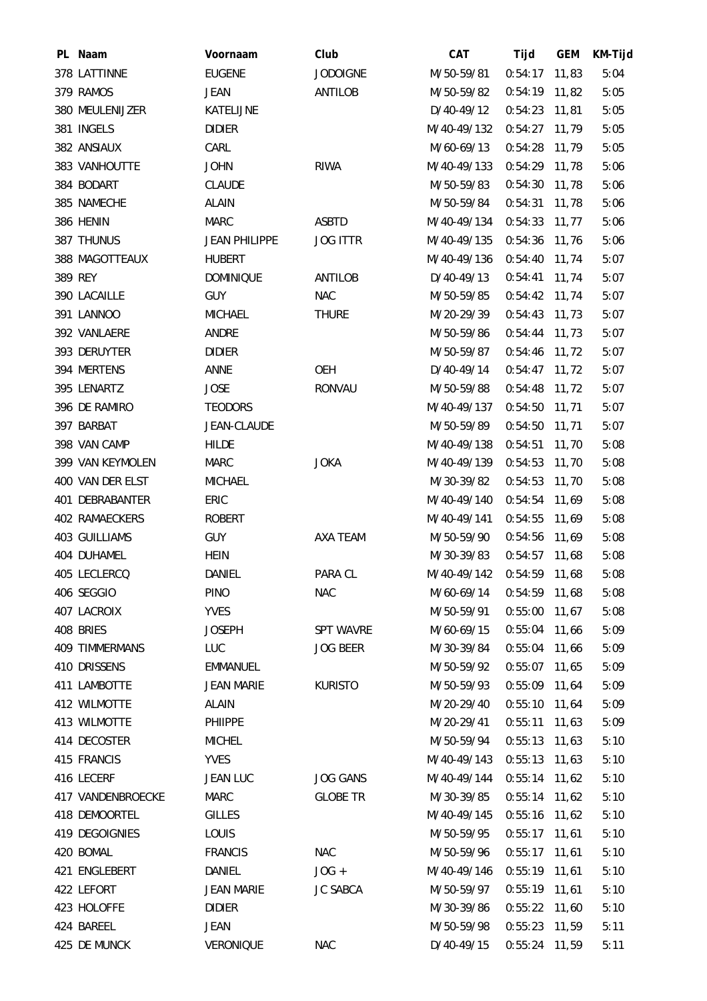| PL Naam               | Voornaam             | Club             | <b>CAT</b>  | Tijd            | <b>GEM</b> | KM-Tijd |
|-----------------------|----------------------|------------------|-------------|-----------------|------------|---------|
| 378 LATTINNE          | <b>EUGENE</b>        | <b>JODOIGNE</b>  | M/50-59/81  | $0:54:17$ 11,83 |            | 5:04    |
| 379 RAMOS             | <b>JEAN</b>          | ANTILOB          | M/50-59/82  | $0:54:19$ 11,82 |            | 5:05    |
| 380 MEULENIJZER       | KATELIJNE            |                  | D/40-49/12  | $0:54:23$ 11,81 |            | 5:05    |
| 381 INGELS            | <b>DIDIER</b>        |                  | M/40-49/132 | $0:54:27$ 11,79 |            | 5:05    |
| 382 ANSIAUX           | CARL                 |                  | M/60-69/13  | 0:54:28         | 11,79      | 5:05    |
| 383 VANHOUTTE         | <b>JOHN</b>          | <b>RIWA</b>      | M/40-49/133 | $0:54:29$ 11,78 |            | 5:06    |
| 384 BODART            | <b>CLAUDE</b>        |                  | M/50-59/83  | 0:54:30 11,78   |            | 5:06    |
| 385 NAMECHE           | <b>ALAIN</b>         |                  | M/50-59/84  | 0:54:31         | 11,78      | 5:06    |
| 386 HENIN             | <b>MARC</b>          | <b>ASBTD</b>     | M/40-49/134 | $0:54:33$ 11,77 |            | 5:06    |
| 387 THUNUS            | <b>JEAN PHILIPPE</b> | <b>JOG ITTR</b>  | M/40-49/135 | 0:54:36 11,76   |            | 5:06    |
| 388 MAGOTTEAUX        | <b>HUBERT</b>        |                  | M/40-49/136 | $0:54:40$ 11,74 |            | 5:07    |
| 389 REY               | <b>DOMINIQUE</b>     | ANTILOB          | D/40-49/13  | $0:54:41$ 11,74 |            | 5:07    |
| 390 LACAILLE          | <b>GUY</b>           | <b>NAC</b>       | M/50-59/85  | 0:54:42 11,74   |            | 5:07    |
| 391 LANNOO            | <b>MICHAEL</b>       | <b>THURE</b>     | M/20-29/39  | $0:54:43$ 11,73 |            | 5:07    |
| 392 VANLAERE          | ANDRE                |                  | M/50-59/86  | $0:54:44$ 11,73 |            | 5:07    |
| 393 DERUYTER          | <b>DIDIER</b>        |                  | M/50-59/87  | $0:54:46$ 11,72 |            | 5:07    |
| 394 MERTENS           | ANNE                 | OEH              | D/40-49/14  | $0:54:47$ 11,72 |            | 5:07    |
| 395 LENARTZ           | <b>JOSE</b>          | <b>RONVAU</b>    | M/50-59/88  | 0:54:48         | 11,72      | 5:07    |
| 396 DE RAMIRO         | <b>TEODORS</b>       |                  | M/40-49/137 | $0:54:50$ 11,71 |            | 5:07    |
| 397 BARBAT            | JEAN-CLAUDE          |                  | M/50-59/89  | $0:54:50$ 11,71 |            | 5:07    |
| 398 VAN CAMP          | <b>HILDE</b>         |                  | M/40-49/138 | 0:54:51         | 11,70      | 5:08    |
| 399 VAN KEYMOLEN      | <b>MARC</b>          | <b>JOKA</b>      | M/40-49/139 | 0:54:53         | 11,70      | 5:08    |
| 400 VAN DER ELST      | <b>MICHAEL</b>       |                  | M/30-39/82  | 0:54:53         | 11,70      | 5:08    |
| 401 DEBRABANTER       | ERIC                 |                  | M/40-49/140 | 0:54:54 11,69   |            | 5:08    |
| 402 RAMAECKERS        | <b>ROBERT</b>        |                  | M/40-49/141 | 0:54:55         | 11,69      | 5:08    |
| 403 GUILLIAMS         | <b>GUY</b>           | AXA TEAM         | M/50-59/90  | $0:54:56$ 11,69 |            | 5:08    |
| 404 DUHAMEL           | <b>HEIN</b>          |                  | M/30-39/83  | $0:54:57$ 11,68 |            | 5:08    |
| 405 LECLERCQ          | DANIEL               | PARA CL          | M/40-49/142 | 0:54:59 11,68   |            | 5:08    |
| 406 SEGGIO            | <b>PINO</b>          | <b>NAC</b>       | M/60-69/14  | 0:54:59 11,68   |            | 5:08    |
| 407 LACROIX           | <b>YVES</b>          |                  | M/50-59/91  | 0:55:00         | 11,67      | 5:08    |
| 408 BRIES             | <b>JOSEPH</b>        | <b>SPT WAVRE</b> | M/60-69/15  | $0:55:04$ 11,66 |            | 5:09    |
| <b>409 TIMMERMANS</b> | <b>LUC</b>           | <b>JOG BEER</b>  | M/30-39/84  | 0:55:04         | 11,66      | 5:09    |
| 410 DRISSENS          | <b>EMMANUEL</b>      |                  | M/50-59/92  | 0:55:07         | 11,65      | 5:09    |
| 411 LAMBOTTE          | <b>JEAN MARIE</b>    | <b>KURISTO</b>   | M/50-59/93  | $0:55:09$ 11,64 |            | 5:09    |
| 412 WILMOTTE          | <b>ALAIN</b>         |                  | M/20-29/40  | 0:55:10         | 11,64      | 5:09    |
| 413 WILMOTTE          | PHIIPPE              |                  | M/20-29/41  | 0:55:11         | 11,63      | 5:09    |
| 414 DECOSTER          | <b>MICHEL</b>        |                  | M/50-59/94  | 0:55:13         | 11,63      | 5:10    |
| 415 FRANCIS           | <b>YVES</b>          |                  | M/40-49/143 | $0:55:13$ 11,63 |            | 5:10    |
| 416 LECERF            | <b>JEAN LUC</b>      | <b>JOG GANS</b>  | M/40-49/144 | 0:55:14         | 11,62      | 5:10    |
| 417 VANDENBROECKE     | <b>MARC</b>          | <b>GLOBE TR</b>  | M/30-39/85  | 0:55:14         | 11,62      | 5:10    |
| 418 DEMOORTEL         | <b>GILLES</b>        |                  | M/40-49/145 | $0:55:16$ 11,62 |            | 5:10    |
| 419 DEGOIGNIES        | LOUIS                |                  | M/50-59/95  | $0:55:17$ 11,61 |            | 5:10    |
| 420 BOMAL             | <b>FRANCIS</b>       | <b>NAC</b>       | M/50-59/96  | 0:55:17         | 11,61      | 5:10    |
| 421 ENGLEBERT         | DANIEL               | $JOG +$          | M/40-49/146 | $0:55:19$ 11,61 |            | 5:10    |
| 422 LEFORT            | <b>JEAN MARIE</b>    | <b>JC SABCA</b>  | M/50-59/97  | $0:55:19$ 11,61 |            | 5:10    |
| 423 HOLOFFE           | <b>DIDIER</b>        |                  | M/30-39/86  | $0:55:22$ 11,60 |            | 5:10    |
| 424 BAREEL            | JEAN                 |                  | M/50-59/98  | 0:55:23         | 11,59      | 5:11    |
| 425 DE MUNCK          | VERONIQUE            | <b>NAC</b>       | D/40-49/15  | 0:55:24 11,59   |            | 5:11    |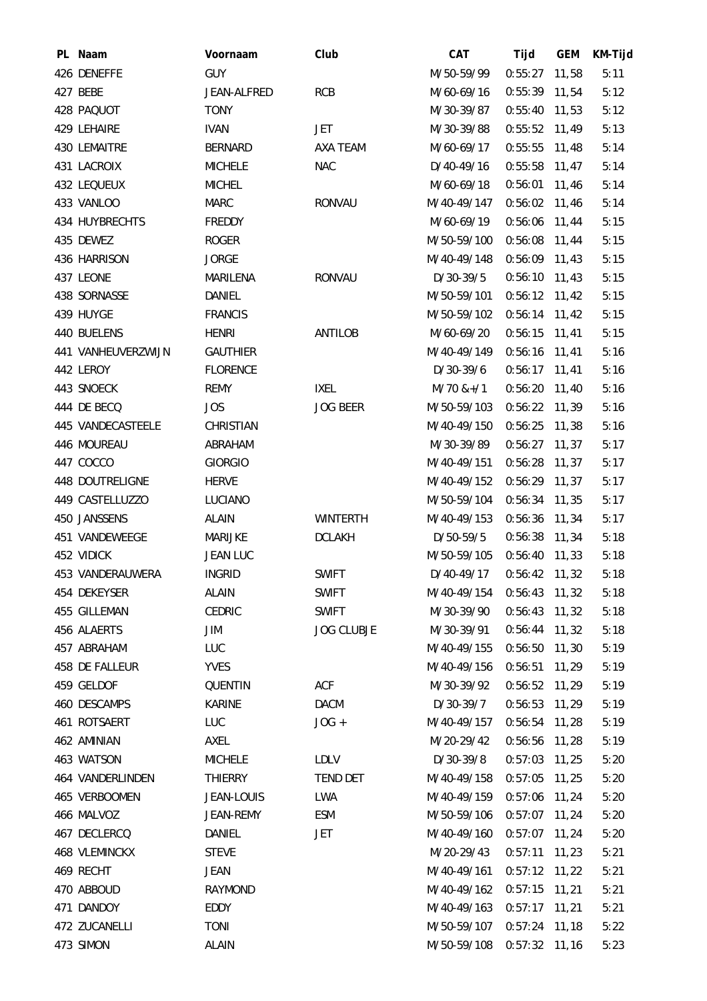| PL Naam              | Voornaam        | Club              | CAT                       | Tijd            | <b>GEM</b> | KM-Tijd |
|----------------------|-----------------|-------------------|---------------------------|-----------------|------------|---------|
| 426 DENEFFE          | <b>GUY</b>      |                   | M/50-59/99                | $0:55:27$ 11,58 |            | 5:11    |
| 427 BEBE             | JEAN-ALFRED     | <b>RCB</b>        | M/60-69/16                | 0:55:39         | 11,54      | 5:12    |
| 428 PAQUOT           | <b>TONY</b>     |                   | M/30-39/87                | $0:55:40$ 11,53 |            | 5:12    |
| 429 LEHAIRE          | <b>IVAN</b>     | JET               | M/30-39/88                | $0:55:52$ 11,49 |            | 5:13    |
| 430 LEMAITRE         | <b>BERNARD</b>  | AXA TEAM          | M/60-69/17                | 0:55:55         | 11,48      | 5:14    |
| 431 LACROIX          | <b>MICHELE</b>  | <b>NAC</b>        | D/40-49/16                | $0:55:58$ 11,47 |            | 5:14    |
| 432 LEQUEUX          | <b>MICHEL</b>   |                   | M/60-69/18                | 0:56:01         | 11,46      | 5:14    |
| 433 VANLOO           | <b>MARC</b>     | <b>RONVAU</b>     | M/40-49/147               | 0:56:02         | 11,46      | 5:14    |
| 434 HUYBRECHTS       | FREDDY          |                   | M/60-69/19                | 0:56:06 11,44   |            | 5:15    |
| 435 DEWEZ            | <b>ROGER</b>    |                   | M/50-59/100               | $0:56:08$ 11,44 |            | 5:15    |
| 436 HARRISON         | <b>JORGE</b>    |                   | M/40-49/148               | $0:56:09$ 11,43 |            | 5:15    |
| 437 LEONE            | MARILENA        | <b>RONVAU</b>     | D/30-39/5                 | 0:56:10         | 11,43      | 5:15    |
| 438 SORNASSE         | DANIEL          |                   | M/50-59/101               | $0:56:12$ 11,42 |            | 5:15    |
| 439 HUYGE            | <b>FRANCIS</b>  |                   | M/50-59/102               | $0:56:14$ 11,42 |            | 5:15    |
| 440 BUELENS          | <b>HENRI</b>    | <b>ANTILOB</b>    | M/60-69/20                | 0:56:15         | 11,41      | 5:15    |
| 441 VANHEUVERZWIJN   | <b>GAUTHIER</b> |                   | M/40-49/149               | $0:56:16$ 11,41 |            | 5:16    |
| 442 LEROY            | <b>FLORENCE</b> |                   | D/30-39/6                 | $0:56:17$ 11,41 |            | 5:16    |
| 443 SNOECK           | <b>REMY</b>     | <b>IXEL</b>       | $M/70$ &+/1               | 0:56:20         | 11,40      | 5:16    |
| 444 DE BECQ          | <b>JOS</b>      | <b>JOG BEER</b>   | M/50-59/103               | $0:56:22$ 11,39 |            | 5:16    |
| 445 VANDECASTEELE    | CHRISTIAN       |                   | M/40-49/150               | 0:56:25         | 11,38      | 5:16    |
| 446 MOUREAU          | ABRAHAM         |                   | M/30-39/89                | $0:56:27$ 11,37 |            | 5:17    |
| 447 COCCO            | <b>GIORGIO</b>  |                   | M/40-49/151               | 0:56:28         | 11,37      | 5:17    |
| 448 DOUTRELIGNE      | <b>HERVE</b>    |                   | M/40-49/152               | $0:56:29$ 11,37 |            | 5:17    |
| 449 CASTELLUZZO      | LUCIANO         |                   | M/50-59/104               | $0:56:34$ 11,35 |            | 5:17    |
| 450 JANSSENS         | <b>ALAIN</b>    | <b>WINTERTH</b>   | M/40-49/153               | 0:56:36         | 11,34      | 5:17    |
| 451 VANDEWEEGE       | <b>MARIJKE</b>  | <b>DCLAKH</b>     | D/50-59/5                 | 0:56:38 11,34   |            | 5:18    |
| 452 VIDICK           | <b>JEAN LUC</b> |                   | M/50-59/105               | $0:56:40$ 11,33 |            | 5:18    |
| 453 VANDERAUWERA     | <b>INGRID</b>   | <b>SWIFT</b>      | D/40-49/17                | 0:56:42 11,32   |            | 5:18    |
| 454 DEKEYSER         | <b>ALAIN</b>    | <b>SWIFT</b>      | M/40-49/154 0:56:43 11,32 |                 |            | 5:18    |
| 455 GILLEMAN         | <b>CEDRIC</b>   | <b>SWIFT</b>      | M/30-39/90                | $0:56:43$ 11,32 |            | 5:18    |
| 456 ALAERTS          | JIM             | <b>JOG CLUBJE</b> | M/30-39/91                | $0:56:44$ 11,32 |            | 5:18    |
| 457 ABRAHAM          | LUC             |                   | M/40-49/155               | $0:56:50$ 11,30 |            | 5:19    |
| 458 DE FALLEUR       | <b>YVES</b>     |                   | M/40-49/156               | 0:56:51         | 11,29      | 5:19    |
| 459 GELDOF           | QUENTIN         | ACF               | M/30-39/92                | $0:56:52$ 11,29 |            | 5:19    |
| 460 DESCAMPS         | <b>KARINE</b>   | <b>DACM</b>       | D/30-39/7                 | $0:56:53$ 11,29 |            | 5:19    |
| 461 ROTSAERT         | LUC             | $JOG +$           | M/40-49/157               | 0:56:54         | 11,28      | 5:19    |
| 462 AMINIAN          | AXEL            |                   | M/20-29/42                | 0:56:56         | 11,28      | 5:19    |
| 463 WATSON           | <b>MICHELE</b>  | <b>LDLV</b>       | D/30-39/8                 | $0:57:03$ 11,25 |            | 5:20    |
| 464 VANDERLINDEN     | <b>THIERRY</b>  | <b>TEND DET</b>   | M/40-49/158               | $0:57:05$ 11,25 |            | 5:20    |
| 465 VERBOOMEN        | JEAN-LOUIS      | LWA               | M/40-49/159               | 0:57:06         | 11,24      | 5:20    |
| 466 MALVOZ           | JEAN-REMY       | ESM               | M/50-59/106               | $0:57:07$ 11,24 |            | 5:20    |
| 467 DECLERCQ         | DANIEL          | JET               | M/40-49/160               | $0:57:07$ 11,24 |            | 5:20    |
| <b>468 VLEMINCKX</b> | <b>STEVE</b>    |                   | M/20-29/43                | 0:57:11         | 11,23      | 5:21    |
| 469 RECHT            | <b>JEAN</b>     |                   | M/40-49/161               | $0:57:12$ 11,22 |            | 5:21    |
| 470 ABBOUD           | RAYMOND         |                   | M/40-49/162               | 0:57:15         | 11,21      | 5:21    |
| 471 DANDOY           | EDDY            |                   | M/40-49/163               | $0:57:17$ 11,21 |            | 5:21    |
| 472 ZUCANELLI        | <b>TONI</b>     |                   | M/50-59/107               | $0:57:24$ 11,18 |            | 5:22    |
| 473 SIMON            | <b>ALAIN</b>    |                   | M/50-59/108               | $0:57:32$ 11,16 |            | 5:23    |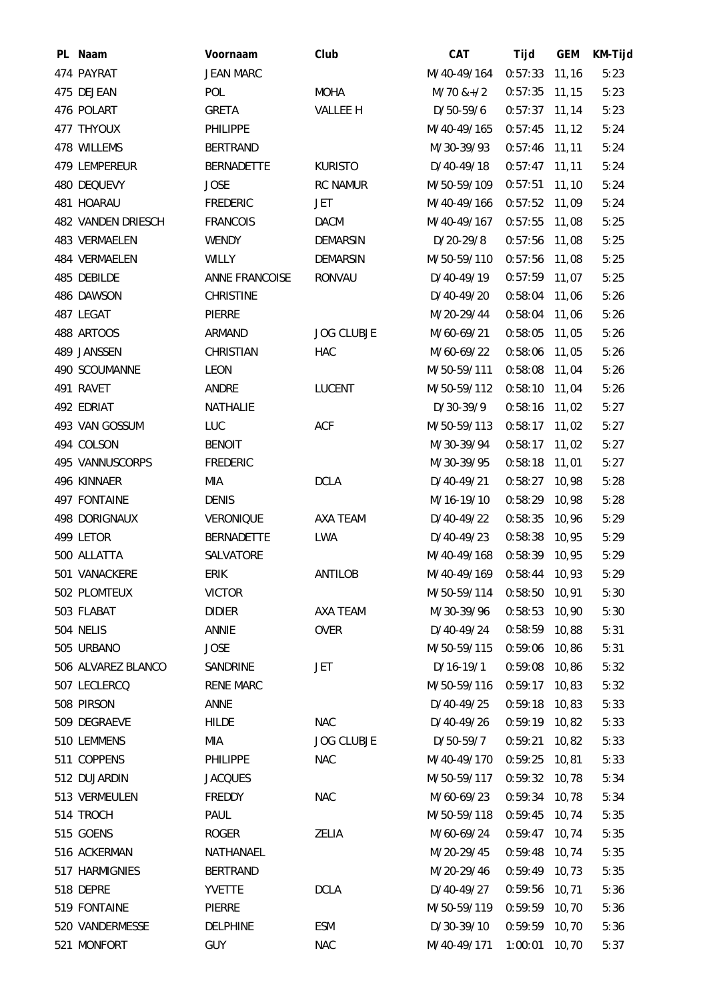| PL Naam            | Voornaam          | Club              | CAT         | Tijd            | <b>GEM</b> | KM-Tijd |
|--------------------|-------------------|-------------------|-------------|-----------------|------------|---------|
| 474 PAYRAT         | <b>JEAN MARC</b>  |                   | M/40-49/164 | $0:57:33$ 11,16 |            | 5:23    |
| 475 DEJEAN         | <b>POL</b>        | <b>MOHA</b>       | $M/70$ &+/2 | 0:57:35         | 11,15      | 5:23    |
| 476 POLART         | GRETA             | VALLEE H          | D/50-59/6   | $0:57:37$ 11,14 |            | 5:23    |
| 477 THYOUX         | <b>PHILIPPE</b>   |                   | M/40-49/165 | $0:57:45$ 11,12 |            | 5:24    |
| 478 WILLEMS        | <b>BERTRAND</b>   |                   | M/30-39/93  | 0:57:46         | 11, 11     | 5:24    |
| 479 LEMPEREUR      | <b>BERNADETTE</b> | <b>KURISTO</b>    | D/40-49/18  | $0:57:47$ 11,11 |            | 5:24    |
| 480 DEQUEVY        | <b>JOSE</b>       | <b>RC NAMUR</b>   | M/50-59/109 | 0:57:51         | 11,10      | 5:24    |
| 481 HOARAU         | <b>FREDERIC</b>   | JET               | M/40-49/166 | $0:57:52$ 11,09 |            | 5:24    |
| 482 VANDEN DRIESCH | <b>FRANCOIS</b>   | <b>DACM</b>       | M/40-49/167 | 0:57:55         | 11,08      | 5:25    |
| 483 VERMAELEN      | <b>WENDY</b>      | <b>DEMARSIN</b>   | $D/20-29/8$ | 0:57:56         | 11,08      | 5:25    |
| 484 VERMAELEN      | <b>WILLY</b>      | <b>DEMARSIN</b>   | M/50-59/110 | $0:57:56$ 11,08 |            | 5:25    |
| 485 DEBILDE        | ANNE FRANCOISE    | <b>RONVAU</b>     | D/40-49/19  | 0:57:59         | 11,07      | 5:25    |
| 486 DAWSON         | <b>CHRISTINE</b>  |                   | D/40-49/20  | 0:58:04         | 11,06      | 5:26    |
| 487 LEGAT          | PIERRE            |                   | M/20-29/44  | 0:58:04 11,06   |            | 5:26    |
| 488 ARTOOS         | ARMAND            | <b>JOG CLUBJE</b> | M/60-69/21  | 0:58:05         | 11,05      | 5:26    |
| 489 JANSSEN        | CHRISTIAN         | <b>HAC</b>        | M/60-69/22  | 0:58:06 11,05   |            | 5:26    |
| 490 SCOUMANNE      | LEON              |                   | M/50-59/111 | 0:58:08 11,04   |            | 5:26    |
| 491 RAVET          | ANDRE             | <b>LUCENT</b>     | M/50-59/112 | 0:58:10         | 11,04      | 5:26    |
| 492 EDRIAT         | NATHALIE          |                   | D/30-39/9   | 0:58:16         | 11,02      | 5:27    |
| 493 VAN GOSSUM     | LUC               | <b>ACF</b>        | M/50-59/113 | $0:58:17$ 11,02 |            | 5:27    |
| 494 COLSON         | <b>BENOIT</b>     |                   | M/30-39/94  | $0:58:17$ 11,02 |            | 5:27    |
| 495 VANNUSCORPS    | <b>FREDERIC</b>   |                   | M/30-39/95  | 0:58:18         | 11,01      | 5:27    |
| 496 KINNAER        | MIA               | <b>DCLA</b>       | D/40-49/21  | $0:58:27$ 10,98 |            | 5:28    |
| 497 FONTAINE       | <b>DENIS</b>      |                   | M/16-19/10  | 0:58:29 10,98   |            | 5:28    |
| 498 DORIGNAUX      | <b>VERONIQUE</b>  | AXA TEAM          | D/40-49/22  | 0:58:35         | 10,96      | 5:29    |
| 499 LETOR          | <b>BERNADETTE</b> | <b>LWA</b>        | D/40-49/23  | 0:58:38 10,95   |            | 5:29    |
| 500 ALLATTA        | SALVATORE         |                   | M/40-49/168 | 0:58:39 10,95   |            | 5:29    |
| 501 VANACKERE      | <b>ERIK</b>       | ANTILOB           | M/40-49/169 | 0:58:44         | 10,93      | 5:29    |
| 502 PLOMTEUX       | <b>VICTOR</b>     |                   | M/50-59/114 | $0:58:50$ 10,91 |            | 5:30    |
| 503 FLABAT         | <b>DIDIER</b>     | AXA TEAM          | M/30-39/96  | 0:58:53         | 10,90      | 5:30    |
| 504 NELIS          | ANNIE             | <b>OVER</b>       | D/40-49/24  | $0:58:59$ 10,88 |            | 5:31    |
| 505 URBANO         | <b>JOSE</b>       |                   | M/50-59/115 | 0:59:06 10,86   |            | 5:31    |
| 506 ALVAREZ BLANCO | SANDRINE          | JET               | $D/16-19/1$ | 0:59:08         | 10,86      | 5:32    |
| 507 LECLERCQ       | <b>RENE MARC</b>  |                   | M/50-59/116 | 0:59:17         | 10,83      | 5:32    |
| 508 PIRSON         | ANNE              |                   | D/40-49/25  | $0:59:18$ 10,83 |            | 5:33    |
| 509 DEGRAEVE       | <b>HILDE</b>      | <b>NAC</b>        | D/40-49/26  | $0:59:19$ 10,82 |            | 5:33    |
| 510 LEMMENS        | MIA               | <b>JOG CLUBJE</b> | D/50-59/7   | 0:59:21         | 10,82      | 5:33    |
| 511 COPPENS        | <b>PHILIPPE</b>   | <b>NAC</b>        | M/40-49/170 | 0:59:25         | 10,81      | 5:33    |
| 512 DUJARDIN       | <b>JACQUES</b>    |                   | M/50-59/117 | $0:59:32$ 10,78 |            | 5:34    |
| 513 VERMEULEN      | FREDDY            | <b>NAC</b>        | M/60-69/23  | 0:59:34         | 10,78      | 5:34    |
| 514 TROCH          | PAUL              |                   | M/50-59/118 | 0:59:45         | 10,74      | 5:35    |
| 515 GOENS          | ROGER             | ZELIA             | M/60-69/24  | $0:59:47$ 10,74 |            | 5:35    |
| 516 ACKERMAN       | NATHANAEL         |                   | M/20-29/45  | 0:59:48         | 10,74      | 5:35    |
| 517 HARMIGNIES     | <b>BERTRAND</b>   |                   | M/20-29/46  | $0:59:49$ 10,73 |            | 5:35    |
| 518 DEPRE          | YVETTE            | <b>DCLA</b>       | D/40-49/27  | 0:59:56         | 10, 71     | 5:36    |
| 519 FONTAINE       | PIERRE            |                   | M/50-59/119 | 0:59:59 10,70   |            | 5:36    |
| 520 VANDERMESSE    | <b>DELPHINE</b>   | <b>ESM</b>        | D/30-39/10  | 0:59:59         | 10,70      | 5:36    |
| 521 MONFORT        | <b>GUY</b>        | <b>NAC</b>        | M/40-49/171 | 1:00:01         | 10,70      | 5:37    |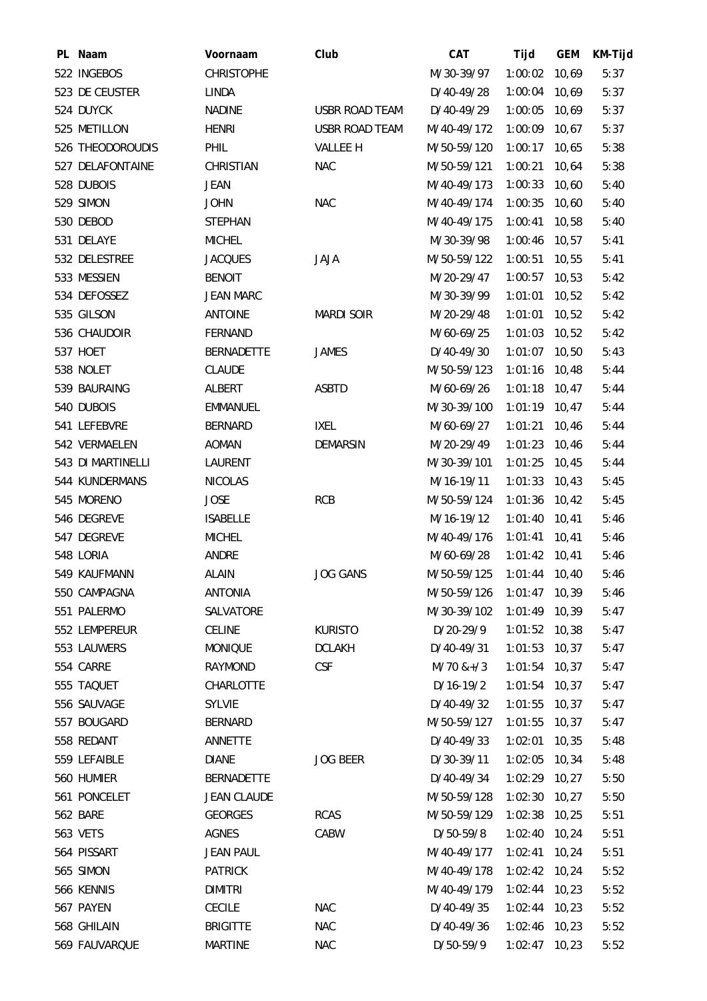| PL Naam           | Voornaam           | Club                  | CAT         | Tijd            | <b>GEM</b> | KM-Tijd |
|-------------------|--------------------|-----------------------|-------------|-----------------|------------|---------|
| 522 INGEBOS       | <b>CHRISTOPHE</b>  |                       | M/30-39/97  | 1:00:02         | 10,69      | 5:37    |
| 523 DE CEUSTER    | LINDA              |                       | D/40-49/28  | 1:00:04         | 10,69      | 5:37    |
| 524 DUYCK         | <b>NADINE</b>      | <b>USBR ROAD TEAM</b> | D/40-49/29  | $1:00:05$ 10,69 |            | 5:37    |
| 525 METILLON      | <b>HENRI</b>       | <b>USBR ROAD TEAM</b> | M/40-49/172 | $1:00:09$ 10,67 |            | 5:37    |
| 526 THEODOROUDIS  | PHIL               | <b>VALLEE H</b>       | M/50-59/120 | 1:00:17         | 10,65      | 5:38    |
| 527 DELAFONTAINE  | <b>CHRISTIAN</b>   | <b>NAC</b>            | M/50-59/121 | 1:00:21         | 10,64      | 5:38    |
| 528 DUBOIS        | <b>JEAN</b>        |                       | M/40-49/173 | $1:00:33$ 10,60 |            | 5:40    |
| 529 SIMON         | <b>JOHN</b>        | <b>NAC</b>            | M/40-49/174 | 1:00:35         | 10,60      | 5:40    |
| 530 DEBOD         | <b>STEPHAN</b>     |                       | M/40-49/175 | 1:00:41         | 10,58      | 5:40    |
| 531 DELAYE        | <b>MICHEL</b>      |                       | M/30-39/98  | 1:00:46 10,57   |            | 5:41    |
| 532 DELESTREE     | <b>JACQUES</b>     | <b>JAJA</b>           | M/50-59/122 | 1:00:51         | 10,55      | 5:41    |
| 533 MESSIEN       | <b>BENOIT</b>      |                       | M/20-29/47  | 1:00:57         | 10,53      | 5:42    |
| 534 DEFOSSEZ      | <b>JEAN MARC</b>   |                       | M/30-39/99  | 1:01:01         | 10,52      | 5:42    |
| 535 GILSON        | <b>ANTOINE</b>     | <b>MARDI SOIR</b>     | M/20-29/48  | 1:01:01         | 10,52      | 5:42    |
| 536 CHAUDOIR      | FERNAND            |                       | M/60-69/25  | 1:01:03         | 10,52      | 5:42    |
| 537 HOET          | <b>BERNADETTE</b>  | <b>JAMES</b>          | D/40-49/30  | $1:01:07$ 10,50 |            | 5:43    |
| 538 NOLET         | <b>CLAUDE</b>      |                       | M/50-59/123 | $1:01:16$ 10,48 |            | 5:44    |
| 539 BAURAING      | ALBERT             | <b>ASBTD</b>          | M/60-69/26  | 1:01:18         | 10,47      | 5:44    |
| 540 DUBOIS        | <b>EMMANUEL</b>    |                       | M/30-39/100 | $1:01:19$ 10,47 |            | 5:44    |
| 541 LEFEBVRE      | <b>BERNARD</b>     | IXEL                  | M/60-69/27  | 1:01:21         | 10,46      | 5:44    |
| 542 VERMAELEN     | <b>AOMAN</b>       | <b>DEMARSIN</b>       | M/20-29/49  | 1:01:23         | 10,46      | 5:44    |
| 543 DI MARTINELLI | LAURENT            |                       | M/30-39/101 | 1:01:25         | 10,45      | 5:44    |
| 544 KUNDERMANS    | <b>NICOLAS</b>     |                       | M/16-19/11  | 1:01:33         | 10,43      | 5:45    |
| 545 MORENO        | <b>JOSE</b>        | <b>RCB</b>            | M/50-59/124 | 1:01:36         | 10,42      | 5:45    |
| 546 DEGREVE       | <b>ISABELLE</b>    |                       | M/16-19/12  | 1:01:40         | 10,41      | 5:46    |
| 547 DEGREVE       | <b>MICHEL</b>      |                       | M/40-49/176 | 1:01:41         | 10,41      | 5:46    |
| 548 LORIA         | ANDRE              |                       | M/60-69/28  | $1:01:42$ 10,41 |            | 5:46    |
| 549 KAUFMANN      | <b>ALAIN</b>       | JOG GANS              | M/50-59/125 | $1:01:44$ 10,40 |            | 5:46    |
| 550 CAMPAGNA      | <b>ANTONIA</b>     |                       | M/50-59/126 | $1:01:47$ 10,39 |            | 5:46    |
| 551 PALERMO       | SALVATORE          |                       | M/30-39/102 | 1:01:49         | 10, 39     | 5:47    |
| 552 LEMPEREUR     | <b>CELINE</b>      | <b>KURISTO</b>        | D/20-29/9   | 1:01:52 10,38   |            | 5:47    |
| 553 LAUWERS       | <b>MONIQUE</b>     | <b>DCLAKH</b>         | D/40-49/31  | $1:01:53$ 10,37 |            | 5:47    |
| 554 CARRE         | <b>RAYMOND</b>     | <b>CSF</b>            | $M/70$ &+/3 | 1:01:54         | 10,37      | 5:47    |
| 555 TAQUET        | CHARLOTTE          |                       | $D/16-19/2$ | $1:01:54$ 10,37 |            | 5:47    |
| 556 SAUVAGE       | <b>SYLVIE</b>      |                       | D/40-49/32  | $1:01:55$ 10,37 |            | 5:47    |
| 557 BOUGARD       | BERNARD            |                       | M/50-59/127 | 1:01:55         | 10, 37     | 5:47    |
| 558 REDANT        | ANNETTE            |                       | D/40-49/33  | 1:02:01         | 10,35      | 5:48    |
| 559 LEFAIBLE      | <b>DIANE</b>       | <b>JOG BEER</b>       | D/30-39/11  | $1:02:05$ 10,34 |            | 5:48    |
| 560 HUMIER        | <b>BERNADETTE</b>  |                       | D/40-49/34  | $1:02:29$ 10,27 |            | 5:50    |
| 561 PONCELET      | <b>JEAN CLAUDE</b> |                       | M/50-59/128 | 1:02:30         | 10,27      | 5:50    |
| 562 BARE          | <b>GEORGES</b>     | <b>RCAS</b>           | M/50-59/129 | $1:02:38$ 10,25 |            | 5:51    |
| 563 VETS          | <b>AGNES</b>       | CABW                  | D/50-59/8   | $1:02:40$ 10,24 |            | 5:51    |
| 564 PISSART       | <b>JEAN PAUL</b>   |                       | M/40-49/177 | 1:02:41         | 10,24      | 5:51    |
| 565 SIMON         | <b>PATRICK</b>     |                       | M/40-49/178 | 1:02:42 10,24   |            | 5:52    |
| 566 KENNIS        | <b>DIMITRI</b>     |                       | M/40-49/179 | $1:02:44$ 10,23 |            | 5:52    |
| 567 PAYEN         | <b>CECILE</b>      | <b>NAC</b>            | D/40-49/35  | $1:02:44$ 10,23 |            | 5:52    |
| 568 GHILAIN       | <b>BRIGITTE</b>    | <b>NAC</b>            | D/40-49/36  | 1:02:46 10,23   |            | 5:52    |
| 569 FAUVARQUE     | <b>MARTINE</b>     | <b>NAC</b>            | D/50-59/9   | $1:02:47$ 10,23 |            | 5:52    |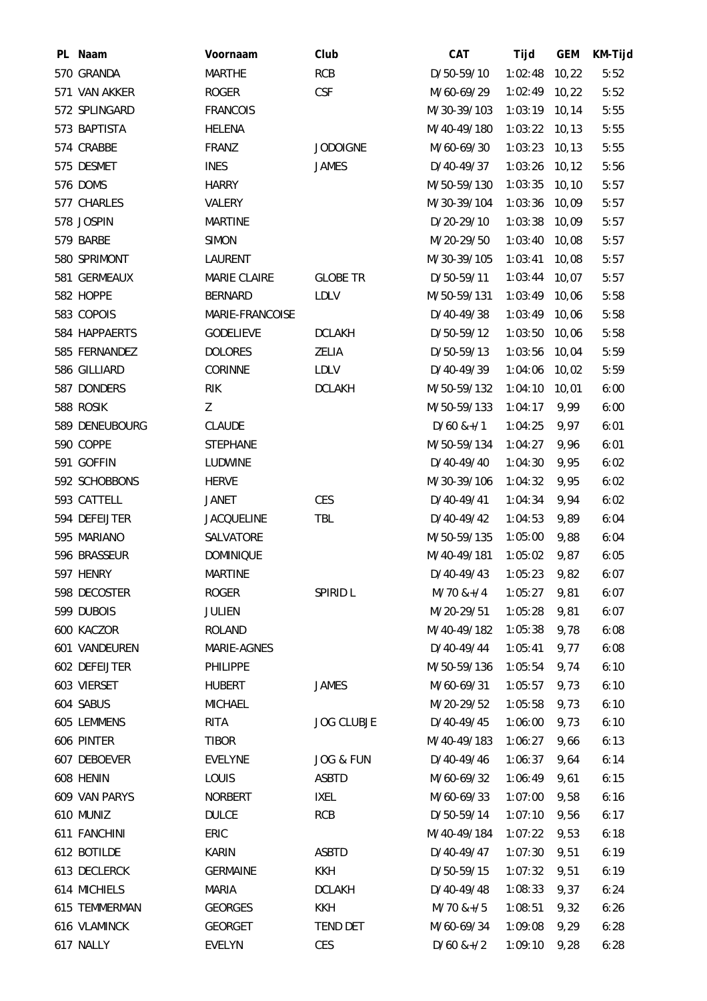| PL Naam        | Voornaam          | Club              | <b>CAT</b>      | Tijd            | <b>GEM</b> | KM-Tijd |
|----------------|-------------------|-------------------|-----------------|-----------------|------------|---------|
| 570 GRANDA     | <b>MARTHE</b>     | <b>RCB</b>        | D/50-59/10      | 1:02:48 10,22   |            | 5:52    |
| 571 VAN AKKER  | <b>ROGER</b>      | <b>CSF</b>        | M/60-69/29      | 1:02:49 10,22   |            | 5:52    |
| 572 SPLINGARD  | <b>FRANCOIS</b>   |                   | M/30-39/103     | $1:03:19$ 10,14 |            | 5:55    |
| 573 BAPTISTA   | <b>HELENA</b>     |                   | M/40-49/180     | $1:03:22$ 10,13 |            | 5:55    |
| 574 CRABBE     | FRANZ             | <b>JODOIGNE</b>   | M/60-69/30      | 1:03:23         | 10, 13     | 5:55    |
| 575 DESMET     | <b>INES</b>       | <b>JAMES</b>      | D/40-49/37      | $1:03:26$ 10,12 |            | 5:56    |
| 576 DOMS       | <b>HARRY</b>      |                   | M/50-59/130     | $1:03:35$ 10,10 |            | 5:57    |
| 577 CHARLES    | VALERY            |                   | M/30-39/104     | 1:03:36         | 10,09      | 5:57    |
| 578 JOSPIN     | <b>MARTINE</b>    |                   | D/20-29/10      | 1:03:38         | 10,09      | 5:57    |
| 579 BARBE      | <b>SIMON</b>      |                   | M/20-29/50      | $1:03:40$ 10,08 |            | 5:57    |
| 580 SPRIMONT   | LAURENT           |                   | M/30-39/105     | $1:03:41$ 10,08 |            | 5:57    |
| 581 GERMEAUX   | MARIE CLAIRE      | <b>GLOBE TR</b>   | D/50-59/11      | 1:03:44         | 10,07      | 5:57    |
| 582 HOPPE      | BERNARD           | <b>LDLV</b>       | M/50-59/131     | 1:03:49 10,06   |            | 5:58    |
| 583 COPOIS     | MARIE-FRANCOISE   |                   | D/40-49/38      | 1:03:49 10,06   |            | 5:58    |
| 584 HAPPAERTS  | <b>GODELIEVE</b>  | <b>DCLAKH</b>     | D/50-59/12      | 1:03:50         | 10,06      | 5:58    |
| 585 FERNANDEZ  | <b>DOLORES</b>    | ZELIA             | D/50-59/13      | 1:03:56 10,04   |            | 5:59    |
| 586 GILLIARD   | CORINNE           | LDLV              | D/40-49/39      | 1:04:06 10,02   |            | 5:59    |
| 587 DONDERS    | <b>RIK</b>        | <b>DCLAKH</b>     | M/50-59/132     | 1:04:10         | 10,01      | 6:00    |
| 588 ROSIK      | Z                 |                   | M/50-59/133     | 1:04:17         | 9,99       | 6:00    |
| 589 DENEUBOURG | <b>CLAUDE</b>     |                   | $D/60$ &+/1     | 1:04:25         | 9,97       | 6:01    |
| 590 COPPE      | <b>STEPHANE</b>   |                   | M/50-59/134     | 1:04:27         | 9,96       | 6:01    |
| 591 GOFFIN     | LUDWINE           |                   | D/40-49/40      | 1:04:30         | 9,95       | 6:02    |
| 592 SCHOBBONS  | <b>HERVE</b>      |                   | M/30-39/106     | 1:04:32         | 9,95       | 6:02    |
| 593 CATTELL    | JANET             | CES               | D/40-49/41      | 1:04:34         | 9,94       | 6:02    |
| 594 DEFEIJTER  | <b>JACQUELINE</b> | TBL               | D/40-49/42      | 1:04:53         | 9,89       | 6:04    |
| 595 MARIANO    | SALVATORE         |                   | M/50-59/135     | 1:05:00         | 9,88       | 6:04    |
| 596 BRASSEUR   | <b>DOMINIQUE</b>  |                   | M/40-49/181     | 1:05:02         | 9,87       | 6:05    |
| 597 HENRY      | <b>MARTINE</b>    |                   | $D/40-49/43$    | 1:05:23         | 9,82       | 6:07    |
| 598 DECOSTER   | <b>ROGER</b>      | SPIRID L          | $M/70$ &+/4     | 1:05:27         | 9,81       | 6:07    |
| 599 DUBOIS     | <b>JULIEN</b>     |                   | M/20-29/51      | 1:05:28         | 9,81       | 6:07    |
| 600 KACZOR     | <b>ROLAND</b>     |                   | M/40-49/182     | 1:05:38         | 9,78       | 6:08    |
| 601 VANDEUREN  | MARIE-AGNES       |                   | D/40-49/44      | 1:05:41         | 9,77       | 6:08    |
| 602 DEFEIJTER  | <b>PHILIPPE</b>   |                   | M/50-59/136     | 1:05:54         | 9,74       | 6:10    |
| 603 VIERSET    | <b>HUBERT</b>     | <b>JAMES</b>      | M/60-69/31      | 1:05:57         | 9,73       | 6:10    |
| 604 SABUS      | <b>MICHAEL</b>    |                   | M/20-29/52      | 1:05:58         | 9,73       | 6:10    |
| 605 LEMMENS    | RITA              | <b>JOG CLUBJE</b> | D/40-49/45      | 1:06:00         | 9,73       | 6:10    |
| 606 PINTER     | <b>TIBOR</b>      |                   | M/40-49/183     | 1:06:27         | 9,66       | 6:13    |
| 607 DEBOEVER   | <b>EVELYNE</b>    | JOG & FUN         | D/40-49/46      | 1:06:37         | 9,64       | 6:14    |
| 608 HENIN      | <b>LOUIS</b>      | <b>ASBTD</b>      | M/60-69/32      | 1:06:49         | 9,61       | 6:15    |
| 609 VAN PARYS  | <b>NORBERT</b>    | <b>IXEL</b>       | M/60-69/33      | 1:07:00         | 9,58       | 6:16    |
| 610 MUNIZ      | <b>DULCE</b>      | <b>RCB</b>        | D/50-59/14      | 1:07:10         | 9,56       | 6:17    |
| 611 FANCHINI   | ERIC              |                   | M/40-49/184     | 1:07:22         | 9,53       | 6:18    |
| 612 BOTILDE    | KARIN             | <b>ASBTD</b>      | D/40-49/47      | 1:07:30         | 9,51       | 6:19    |
| 613 DECLERCK   | <b>GERMAINE</b>   | KKH               | D/50-59/15      | 1:07:32         | 9,51       | 6:19    |
| 614 MICHIELS   | <b>MARIA</b>      | <b>DCLAKH</b>     | D/40-49/48      | 1:08:33         | 9,37       | 6:24    |
| 615 TEMMERMAN  | <b>GEORGES</b>    | KKH               | $M/70$ &+/5     | 1:08:51         | 9,32       | 6:26    |
| 616 VLAMINCK   | <b>GEORGET</b>    | TEND DET          | M/60-69/34      | 1:09:08         | 9,29       | 6:28    |
| 617 NALLY      | <b>EVELYN</b>     | CES               | $D/60$ & + $/2$ | 1:09:10         | 9,28       | 6:28    |